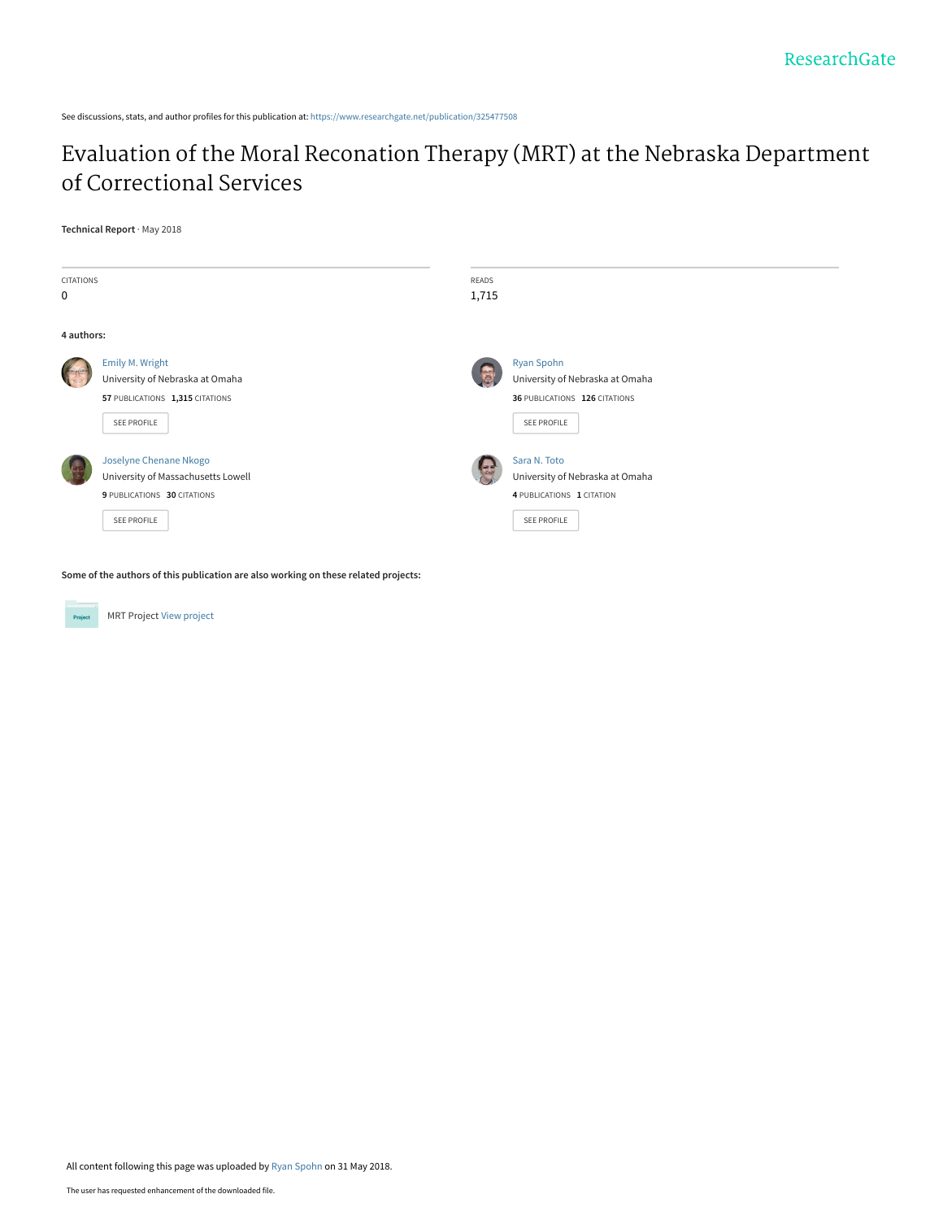See discussions, stats, and author profiles for this publication at: [https://www.researchgate.net/publication/325477508](https://www.researchgate.net/publication/325477508_Evaluation_of_the_Moral_Reconation_Therapy_MRT_at_the_Nebraska_Department_of_Correctional_Services?enrichId=rgreq-2a38f0c0cf4aa57bbc5c7e7aea637258-XXX&enrichSource=Y292ZXJQYWdlOzMyNTQ3NzUwODtBUzo2MzI0Mjc0MzMxNzcwODhAMTUyNzc5Mzg1ODAyNA%3D%3D&el=1_x_2&_esc=publicationCoverPdf)

## [Evaluation of the Moral Reconation Therapy \(MRT\) at the Nebraska Department](https://www.researchgate.net/publication/325477508_Evaluation_of_the_Moral_Reconation_Therapy_MRT_at_the_Nebraska_Department_of_Correctional_Services?enrichId=rgreq-2a38f0c0cf4aa57bbc5c7e7aea637258-XXX&enrichSource=Y292ZXJQYWdlOzMyNTQ3NzUwODtBUzo2MzI0Mjc0MzMxNzcwODhAMTUyNzc5Mzg1ODAyNA%3D%3D&el=1_x_3&_esc=publicationCoverPdf) of Correctional Services

#### **Technical Report** · May 2018

| <b>CITATIONS</b> |                                                                                                            | READS             |                                                                                                    |
|------------------|------------------------------------------------------------------------------------------------------------|-------------------|----------------------------------------------------------------------------------------------------|
| 0                |                                                                                                            | 1,715             |                                                                                                    |
| 4 authors:       |                                                                                                            |                   |                                                                                                    |
|                  | Emily M. Wright<br>University of Nebraska at Omaha<br>57 PUBLICATIONS 1,315 CITATIONS<br>SEE PROFILE       | 禹                 | Ryan Spohn<br>University of Nebraska at Omaha<br>36 PUBLICATIONS 126 CITATIONS<br>SEE PROFILE      |
|                  | Joselyne Chenane Nkogo<br>University of Massachusetts Lowell<br>9 PUBLICATIONS 30 CITATIONS<br>SEE PROFILE | $\leftrightarrow$ | Sara N. Toto<br>University of Nebraska at Omaha<br>4 PUBLICATIONS 1 CITATION<br><b>SEE PROFILE</b> |

**Some of the authors of this publication are also working on these related projects:**



MRT Project [View project](https://www.researchgate.net/project/MRT-Project?enrichId=rgreq-2a38f0c0cf4aa57bbc5c7e7aea637258-XXX&enrichSource=Y292ZXJQYWdlOzMyNTQ3NzUwODtBUzo2MzI0Mjc0MzMxNzcwODhAMTUyNzc5Mzg1ODAyNA%3D%3D&el=1_x_9&_esc=publicationCoverPdf)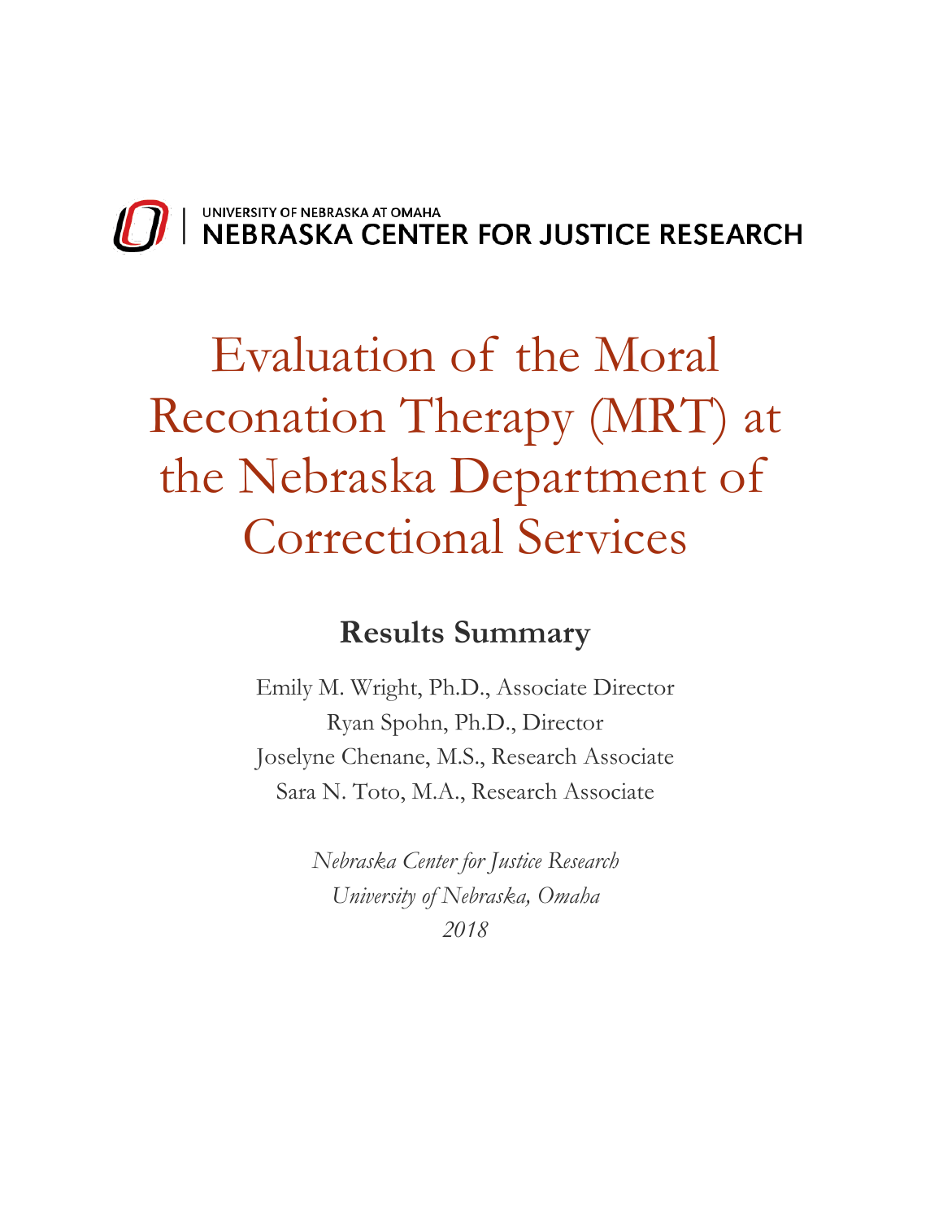

# Evaluation of the Moral Reconation Therapy (MRT) at the Nebraska Department of Correctional Services

# **Results Summary**

Emily M. Wright, Ph.D., Associate Director Ryan Spohn, Ph.D., Director Joselyne Chenane, M.S., Research Associate Sara N. Toto, M.A., Research Associate

> *Nebraska Center for Justice Research University of Nebraska, Omaha 2018*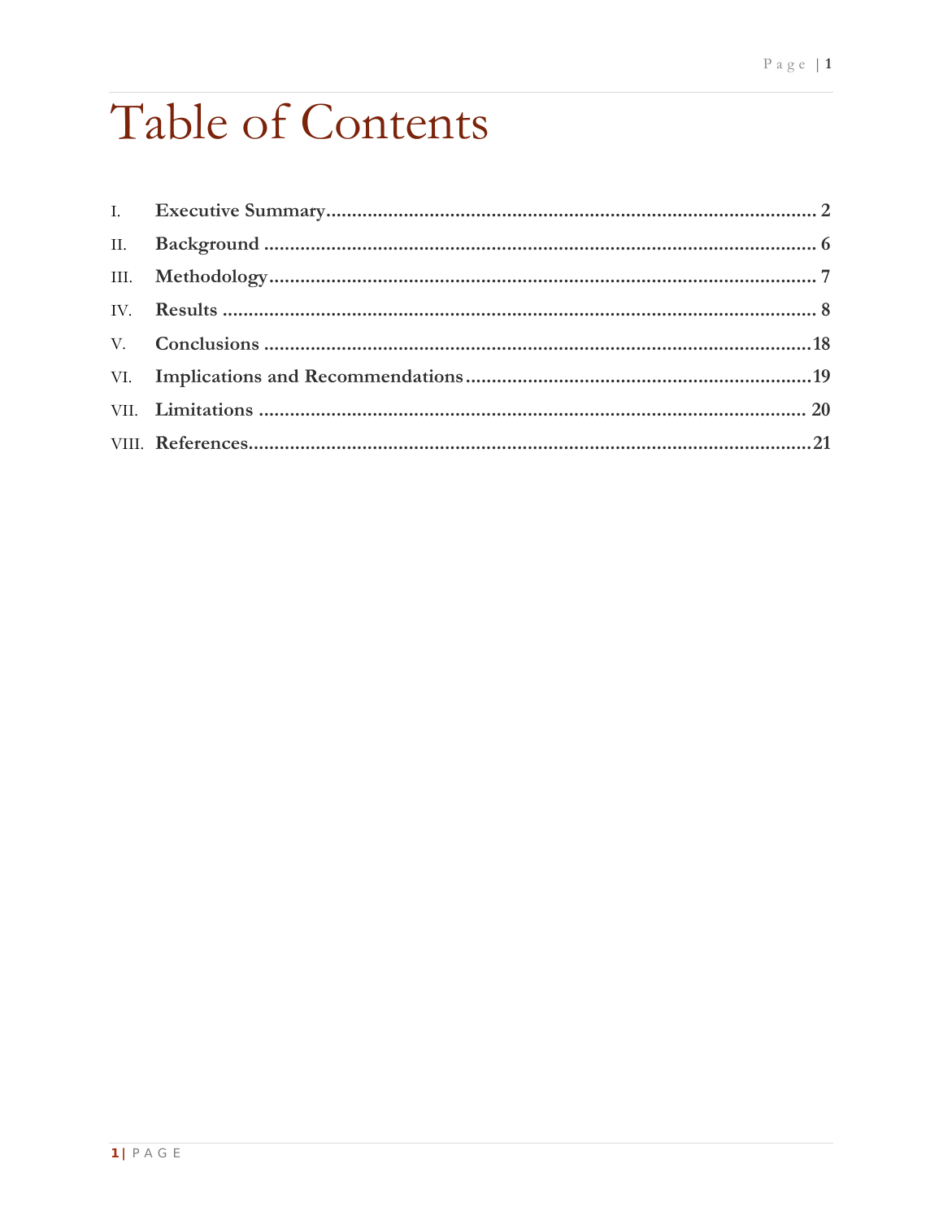# Table of Contents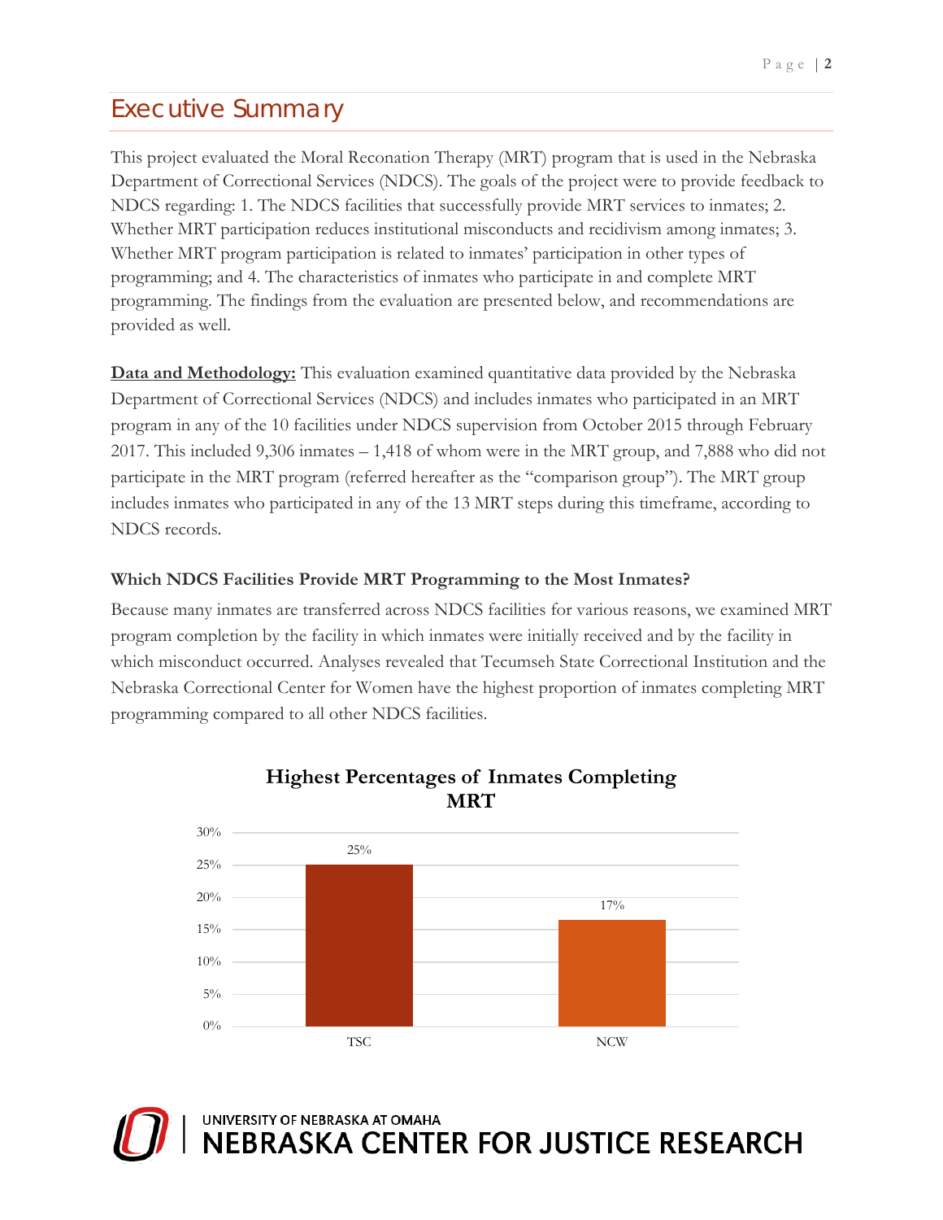# <span id="page-3-0"></span>Executive Summary

This project evaluated the Moral Reconation Therapy (MRT) program that is used in the Nebraska Department of Correctional Services (NDCS). The goals of the project were to provide feedback to NDCS regarding: 1. The NDCS facilities that successfully provide MRT services to inmates; 2. Whether MRT participation reduces institutional misconducts and recidivism among inmates; 3. Whether MRT program participation is related to inmates' participation in other types of programming; and 4. The characteristics of inmates who participate in and complete MRT programming. The findings from the evaluation are presented below, and recommendations are provided as well.

**Data and Methodology:** This evaluation examined quantitative data provided by the Nebraska Department of Correctional Services (NDCS) and includes inmates who participated in an MRT program in any of the 10 facilities under NDCS supervision from October 2015 through February 2017. This included 9,306 inmates – 1,418 of whom were in the MRT group, and 7,888 who did not participate in the MRT program (referred hereafter as the "comparison group"). The MRT group includes inmates who participated in any of the 13 MRT steps during this timeframe, according to NDCS records.

## **Which NDCS Facilities Provide MRT Programming to the Most Inmates?**

Because many inmates are transferred across NDCS facilities for various reasons, we examined MRT program completion by the facility in which inmates were initially received and by the facility in which misconduct occurred. Analyses revealed that Tecumseh State Correctional Institution and the Nebraska Correctional Center for Women have the highest proportion of inmates completing MRT programming compared to all other NDCS facilities.



## **Highest Percentages of Inmates Completing MRT**

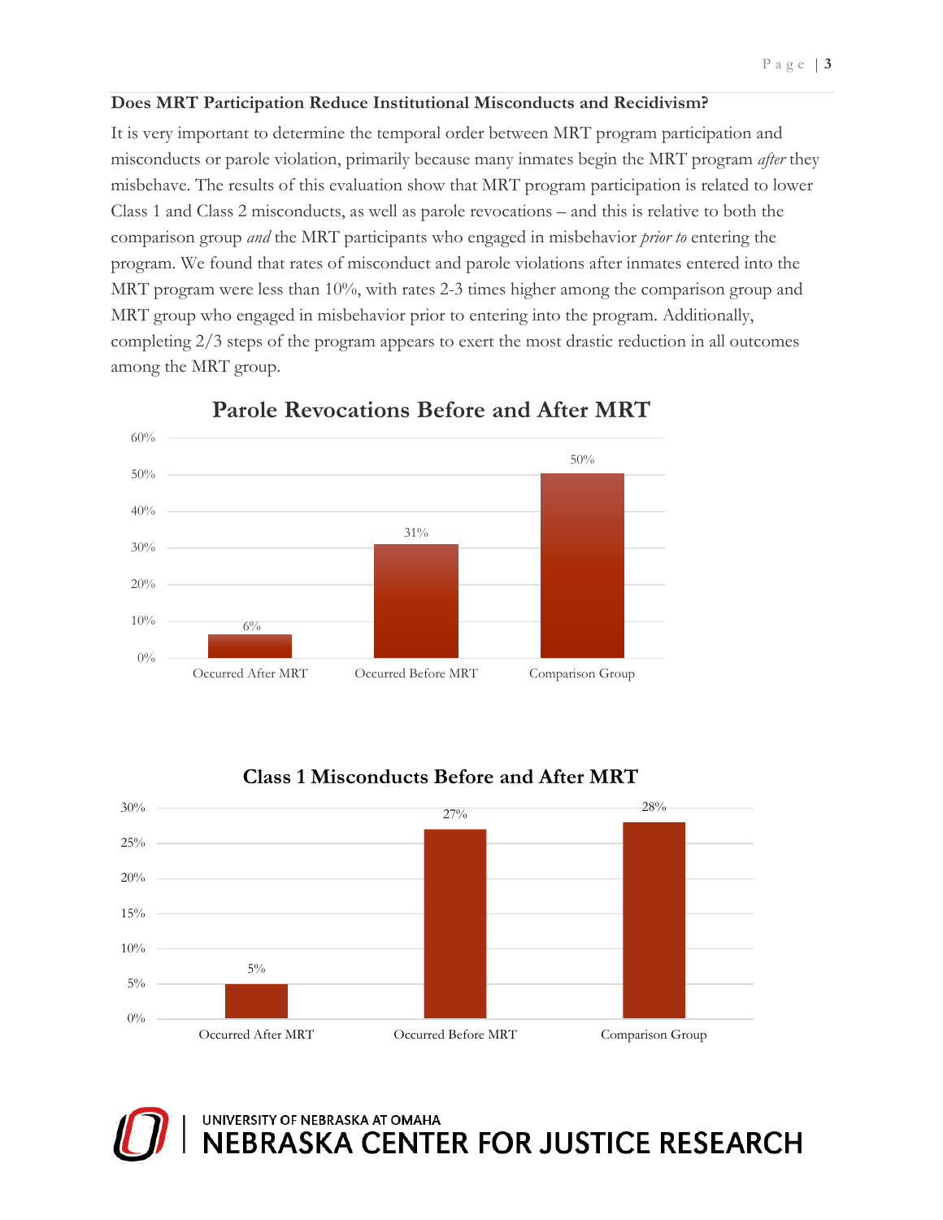### **Does MRT Participation Reduce Institutional Misconducts and Recidivism?**

It is very important to determine the temporal order between MRT program participation and misconducts or parole violation, primarily because many inmates begin the MRT program *after* they misbehave. The results of this evaluation show that MRT program participation is related to lower Class 1 and Class 2 misconducts, as well as parole revocations – and this is relative to both the comparison group *and* the MRT participants who engaged in misbehavior *prior to* entering the program. We found that rates of misconduct and parole violations after inmates entered into the MRT program were less than 10%, with rates 2-3 times higher among the comparison group and MRT group who engaged in misbehavior prior to entering into the program. Additionally, completing 2/3 steps of the program appears to exert the most drastic reduction in all outcomes among the MRT group.



**Parole Revocations Before and After MRT** 

# **Class 1 Misconducts Before and After MRT**



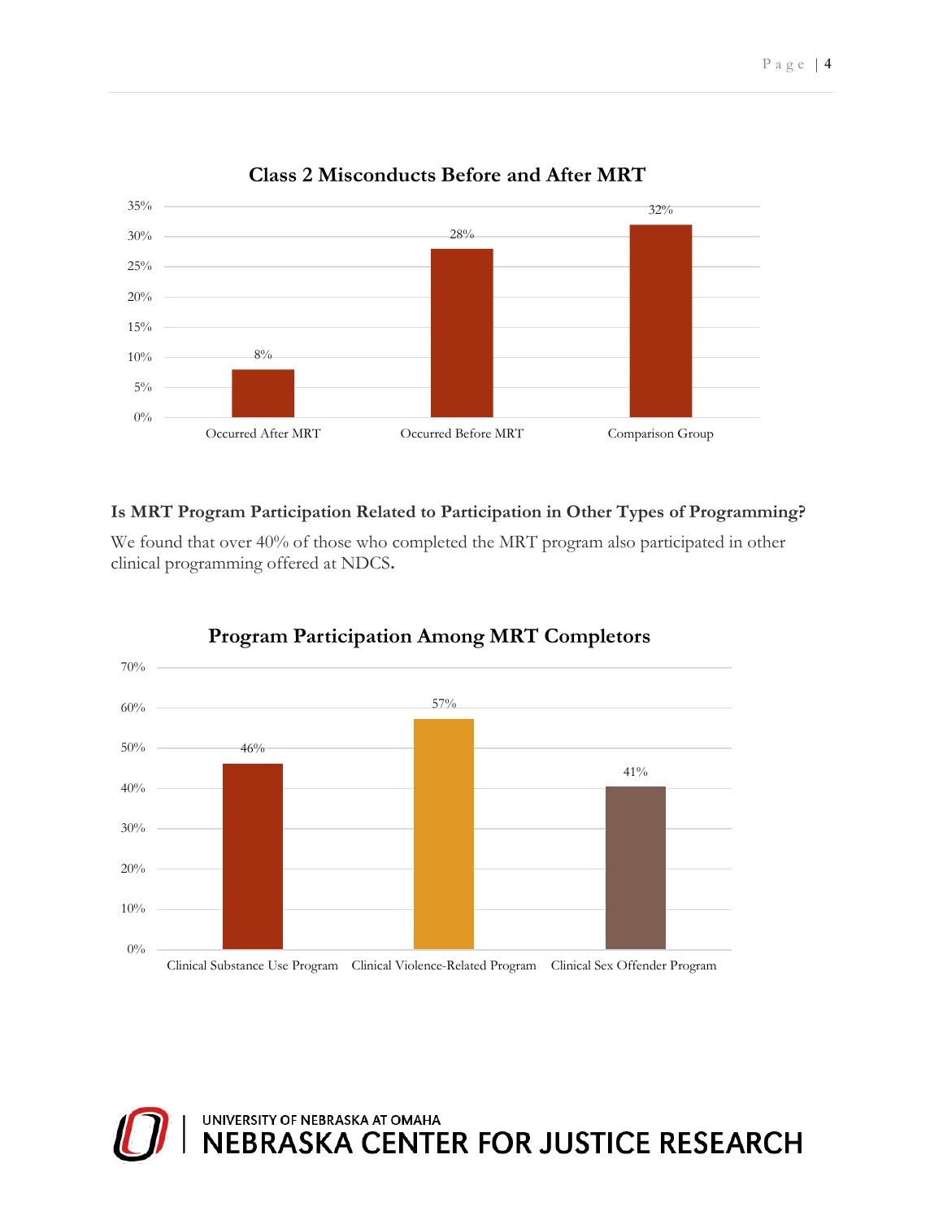

## **Class 2 Misconducts Before and After MRT**

## **Is MRT Program Participation Related to Participation in Other Types of Programming?**

We found that over 40% of those who completed the MRT program also participated in other clinical programming offered at NDCS**.**



## **Program Participation Among MRT Completors**

UNIVERSITY OF NEBRASKA AT OMAHA<br>NEBRASKA CENTER FOR JUSTICE RESEARCH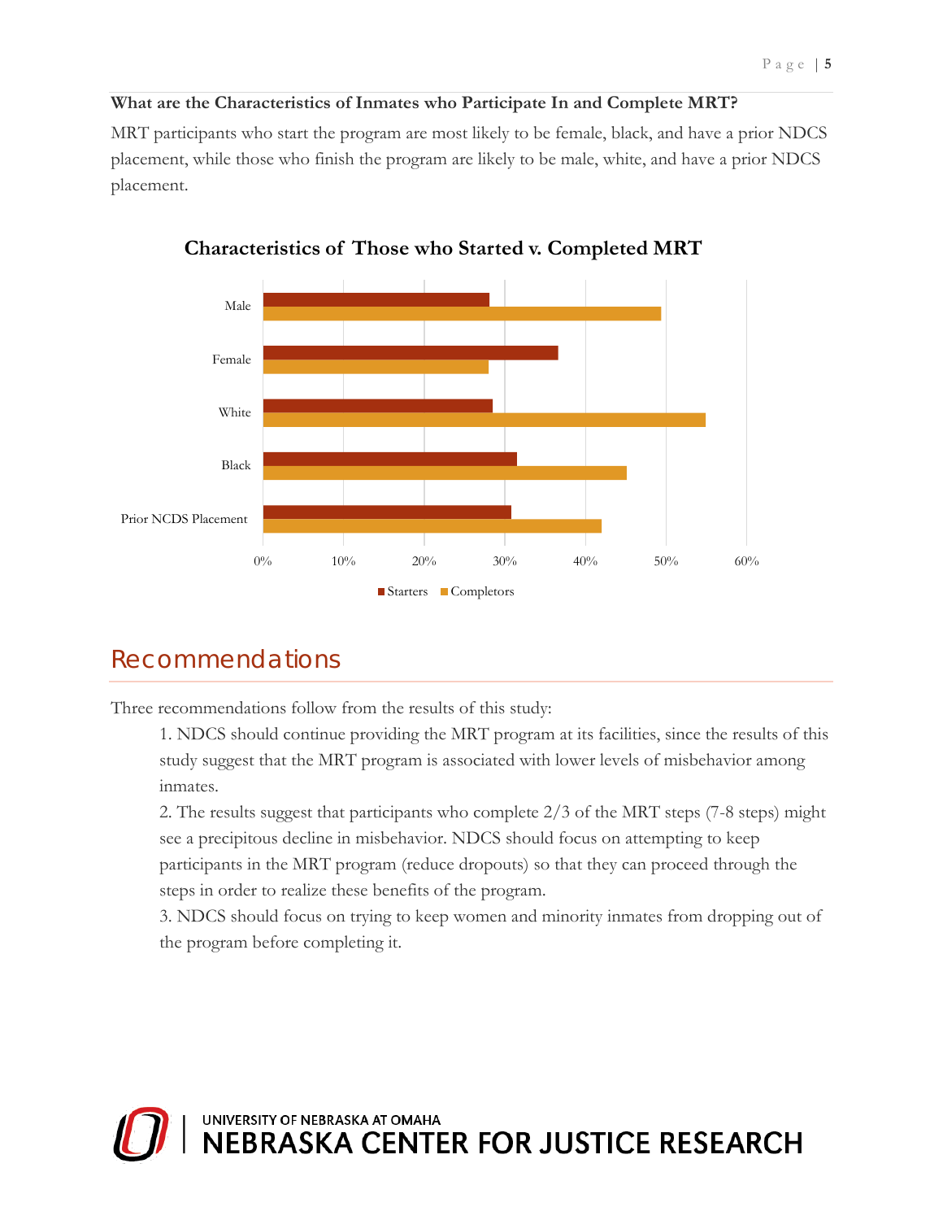#### **What are the Characteristics of Inmates who Participate In and Complete MRT?**

MRT participants who start the program are most likely to be female, black, and have a prior NDCS placement, while those who finish the program are likely to be male, white, and have a prior NDCS placement.



**Characteristics of Those who Started v. Completed MRT**

## Recommendations

Three recommendations follow from the results of this study:

1. NDCS should continue providing the MRT program at its facilities, since the results of this study suggest that the MRT program is associated with lower levels of misbehavior among inmates.

2. The results suggest that participants who complete 2/3 of the MRT steps (7-8 steps) might see a precipitous decline in misbehavior. NDCS should focus on attempting to keep participants in the MRT program (reduce dropouts) so that they can proceed through the steps in order to realize these benefits of the program.

3. NDCS should focus on trying to keep women and minority inmates from dropping out of the program before completing it.

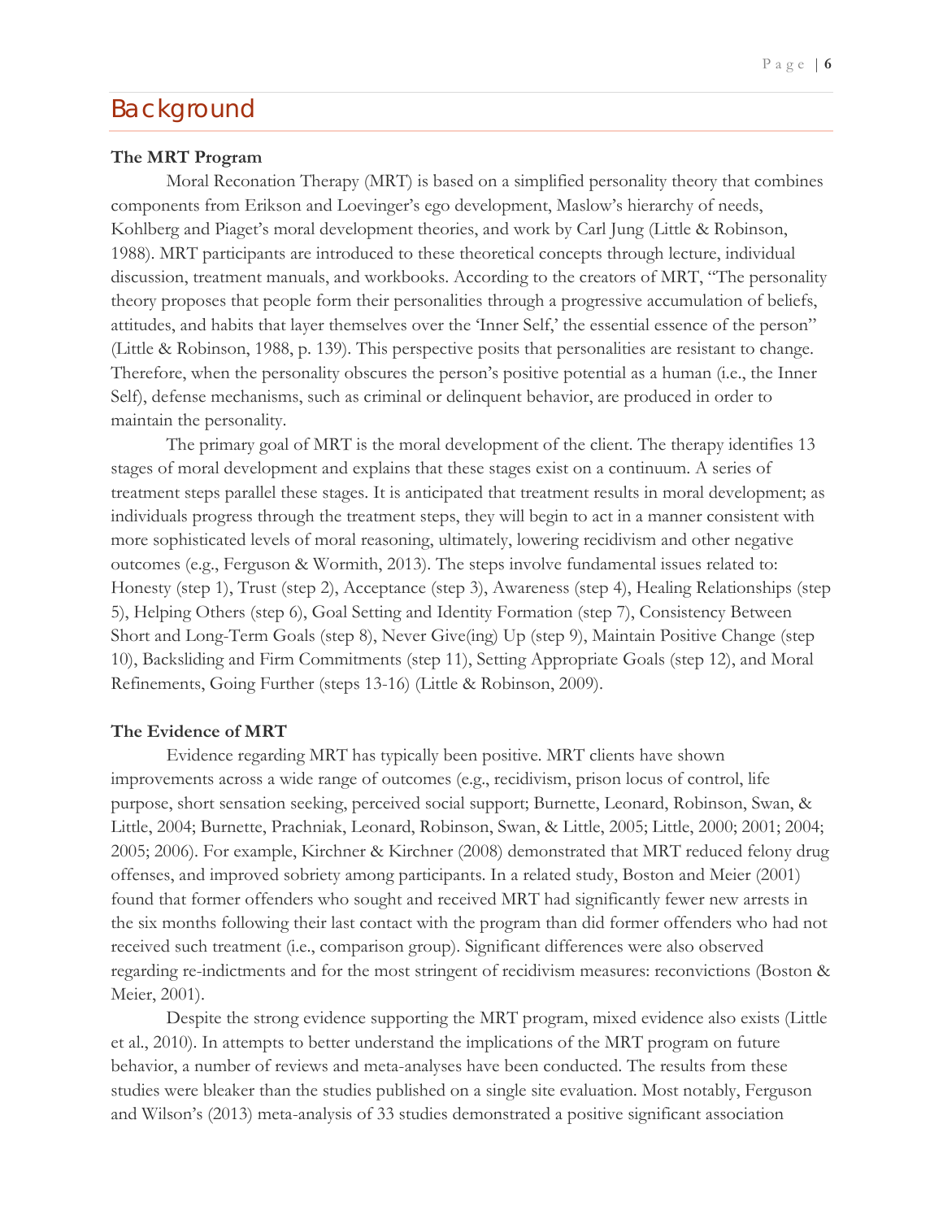## <span id="page-7-0"></span>Background

#### **The MRT Program**

Moral Reconation Therapy (MRT) is based on a simplified personality theory that combines components from Erikson and Loevinger's ego development, Maslow's hierarchy of needs, Kohlberg and Piaget's moral development theories, and work by Carl Jung (Little & Robinson, 1988). MRT participants are introduced to these theoretical concepts through lecture, individual discussion, treatment manuals, and workbooks. According to the creators of MRT, "The personality theory proposes that people form their personalities through a progressive accumulation of beliefs, attitudes, and habits that layer themselves over the 'Inner Self,' the essential essence of the person" (Little & Robinson, 1988, p. 139). This perspective posits that personalities are resistant to change. Therefore, when the personality obscures the person's positive potential as a human (i.e., the Inner Self), defense mechanisms, such as criminal or delinquent behavior, are produced in order to maintain the personality.

The primary goal of MRT is the moral development of the client. The therapy identifies 13 stages of moral development and explains that these stages exist on a continuum. A series of treatment steps parallel these stages. It is anticipated that treatment results in moral development; as individuals progress through the treatment steps, they will begin to act in a manner consistent with more sophisticated levels of moral reasoning, ultimately, lowering recidivism and other negative outcomes (e.g., Ferguson & Wormith, 2013). The steps involve fundamental issues related to: Honesty (step 1), Trust (step 2), Acceptance (step 3), Awareness (step 4), Healing Relationships (step 5), Helping Others (step 6), Goal Setting and Identity Formation (step 7), Consistency Between Short and Long-Term Goals (step 8), Never Give(ing) Up (step 9), Maintain Positive Change (step 10), Backsliding and Firm Commitments (step 11), Setting Appropriate Goals (step 12), and Moral Refinements, Going Further (steps 13-16) (Little & Robinson, 2009).

#### **The Evidence of MRT**

Evidence regarding MRT has typically been positive. MRT clients have shown improvements across a wide range of outcomes (e.g., recidivism, prison locus of control, life purpose, short sensation seeking, perceived social support; Burnette, Leonard, Robinson, Swan, & Little, 2004; Burnette, Prachniak, Leonard, Robinson, Swan, & Little, 2005; Little, 2000; 2001; 2004; 2005; 2006). For example, Kirchner & Kirchner (2008) demonstrated that MRT reduced felony drug offenses, and improved sobriety among participants. In a related study, Boston and Meier (2001) found that former offenders who sought and received MRT had significantly fewer new arrests in the six months following their last contact with the program than did former offenders who had not received such treatment (i.e., comparison group). Significant differences were also observed regarding re-indictments and for the most stringent of recidivism measures: reconvictions (Boston & Meier, 2001).

Despite the strong evidence supporting the MRT program, mixed evidence also exists (Little et al., 2010). In attempts to better understand the implications of the MRT program on future behavior, a number of reviews and meta-analyses have been conducted. The results from these studies were bleaker than the studies published on a single site evaluation. Most notably, Ferguson and Wilson's (2013) meta-analysis of 33 studies demonstrated a positive significant association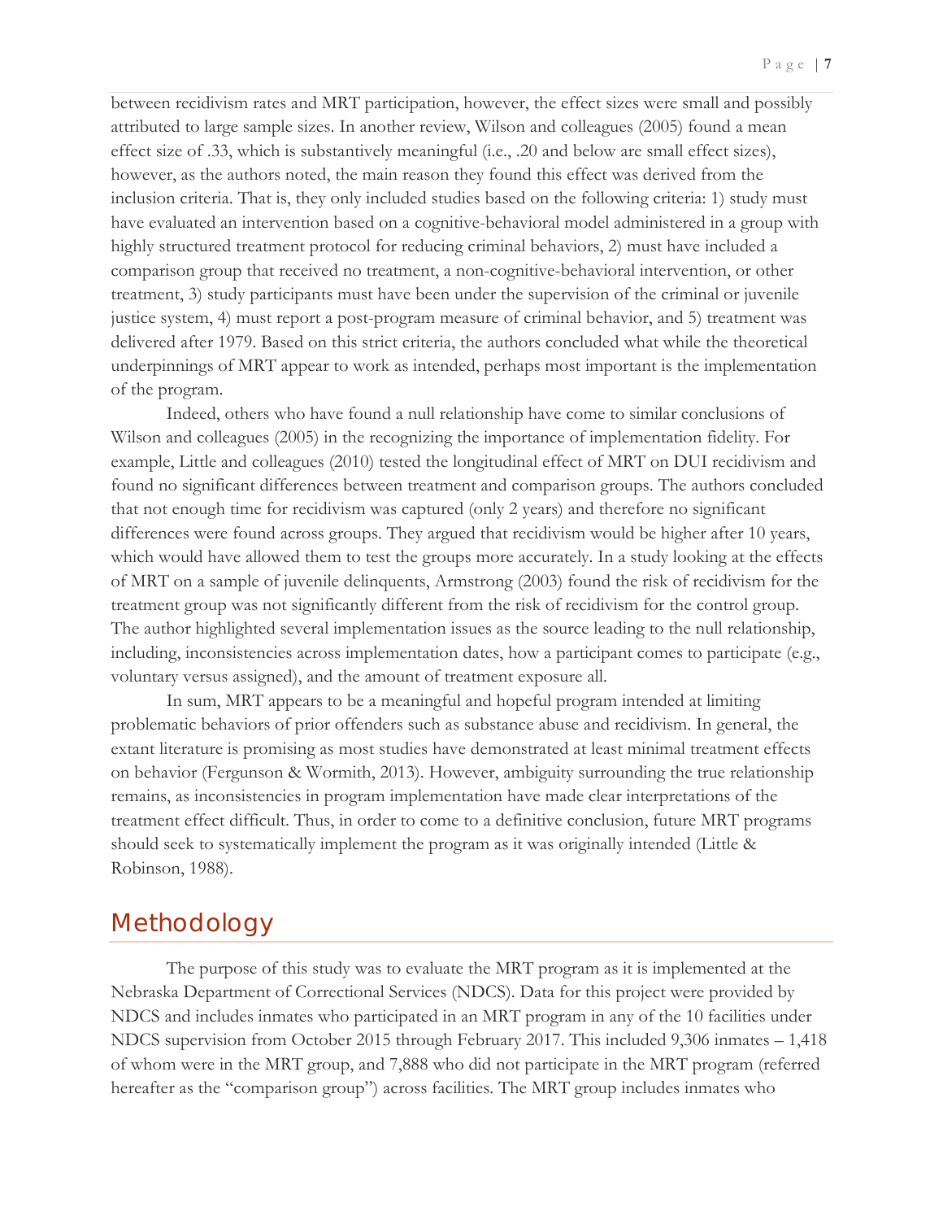between recidivism rates and MRT participation, however, the effect sizes were small and possibly attributed to large sample sizes. In another review, Wilson and colleagues (2005) found a mean effect size of .33, which is substantively meaningful (i.e., .20 and below are small effect sizes), however, as the authors noted, the main reason they found this effect was derived from the inclusion criteria. That is, they only included studies based on the following criteria: 1) study must have evaluated an intervention based on a cognitive-behavioral model administered in a group with highly structured treatment protocol for reducing criminal behaviors, 2) must have included a comparison group that received no treatment, a non-cognitive-behavioral intervention, or other treatment, 3) study participants must have been under the supervision of the criminal or juvenile justice system, 4) must report a post-program measure of criminal behavior, and 5) treatment was delivered after 1979. Based on this strict criteria, the authors concluded what while the theoretical underpinnings of MRT appear to work as intended, perhaps most important is the implementation of the program.

Indeed, others who have found a null relationship have come to similar conclusions of Wilson and colleagues (2005) in the recognizing the importance of implementation fidelity. For example, Little and colleagues (2010) tested the longitudinal effect of MRT on DUI recidivism and found no significant differences between treatment and comparison groups. The authors concluded that not enough time for recidivism was captured (only 2 years) and therefore no significant differences were found across groups. They argued that recidivism would be higher after 10 years, which would have allowed them to test the groups more accurately. In a study looking at the effects of MRT on a sample of juvenile delinquents, Armstrong (2003) found the risk of recidivism for the treatment group was not significantly different from the risk of recidivism for the control group. The author highlighted several implementation issues as the source leading to the null relationship, including, inconsistencies across implementation dates, how a participant comes to participate (e.g., voluntary versus assigned), and the amount of treatment exposure all.

In sum, MRT appears to be a meaningful and hopeful program intended at limiting problematic behaviors of prior offenders such as substance abuse and recidivism. In general, the extant literature is promising as most studies have demonstrated at least minimal treatment effects on behavior (Fergunson & Wormith, 2013). However, ambiguity surrounding the true relationship remains, as inconsistencies in program implementation have made clear interpretations of the treatment effect difficult. Thus, in order to come to a definitive conclusion, future MRT programs should seek to systematically implement the program as it was originally intended (Little & Robinson, 1988).

## <span id="page-8-0"></span>Methodology

The purpose of this study was to evaluate the MRT program as it is implemented at the Nebraska Department of Correctional Services (NDCS). Data for this project were provided by NDCS and includes inmates who participated in an MRT program in any of the 10 facilities under NDCS supervision from October 2015 through February 2017. This included 9,306 inmates – 1,418 of whom were in the MRT group, and 7,888 who did not participate in the MRT program (referred hereafter as the "comparison group") across facilities. The MRT group includes inmates who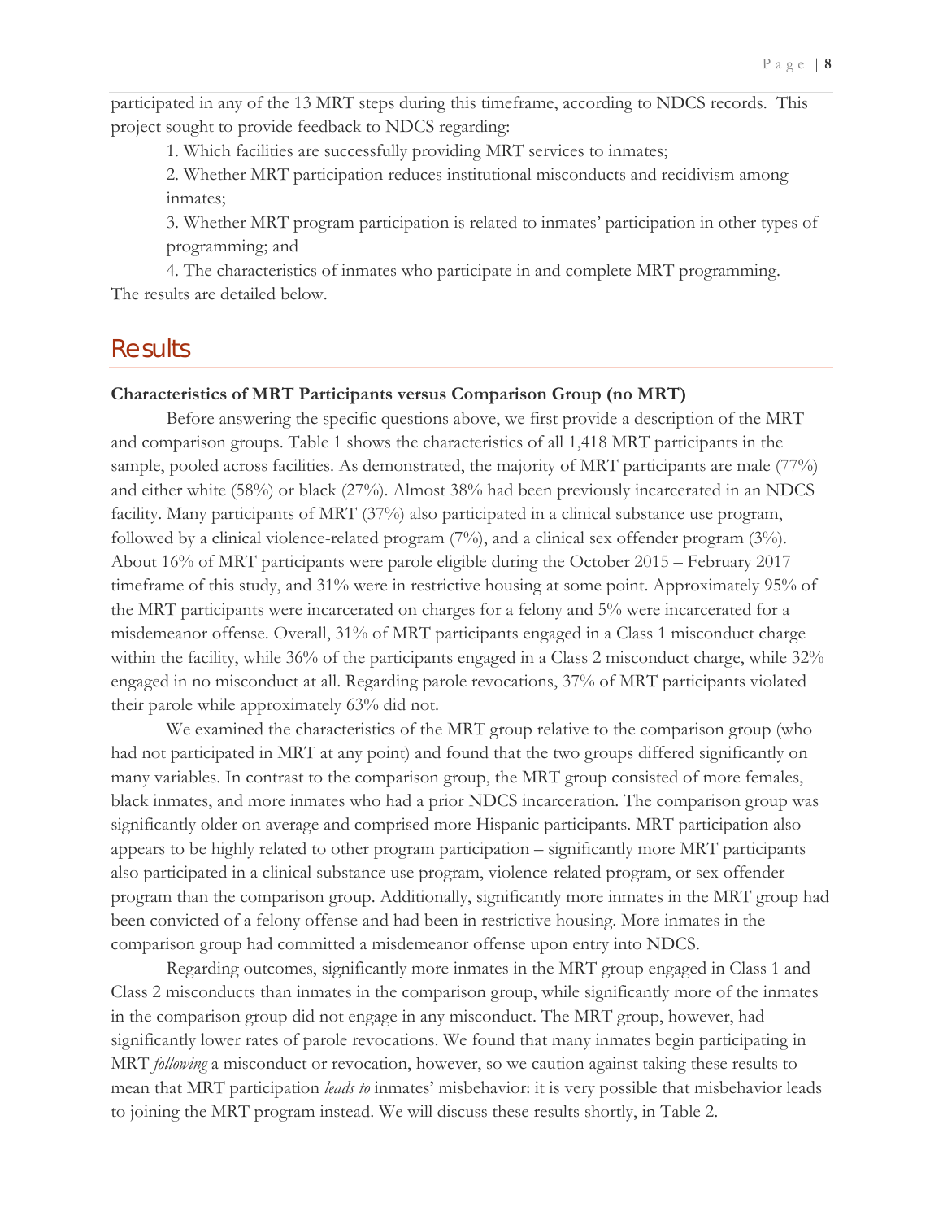participated in any of the 13 MRT steps during this timeframe, according to NDCS records. This project sought to provide feedback to NDCS regarding:

1. Which facilities are successfully providing MRT services to inmates;

2. Whether MRT participation reduces institutional misconducts and recidivism among inmates;

3. Whether MRT program participation is related to inmates' participation in other types of programming; and

4. The characteristics of inmates who participate in and complete MRT programming. The results are detailed below.

## <span id="page-9-0"></span>**Results**

#### **Characteristics of MRT Participants versus Comparison Group (no MRT)**

Before answering the specific questions above, we first provide a description of the MRT and comparison groups. Table 1 shows the characteristics of all 1,418 MRT participants in the sample, pooled across facilities. As demonstrated, the majority of MRT participants are male (77%) and either white (58%) or black (27%). Almost 38% had been previously incarcerated in an NDCS facility. Many participants of MRT (37%) also participated in a clinical substance use program, followed by a clinical violence-related program (7%), and a clinical sex offender program (3%). About 16% of MRT participants were parole eligible during the October 2015 – February 2017 timeframe of this study, and 31% were in restrictive housing at some point. Approximately 95% of the MRT participants were incarcerated on charges for a felony and 5% were incarcerated for a misdemeanor offense. Overall, 31% of MRT participants engaged in a Class 1 misconduct charge within the facility, while 36% of the participants engaged in a Class 2 misconduct charge, while 32% engaged in no misconduct at all. Regarding parole revocations, 37% of MRT participants violated their parole while approximately 63% did not.

We examined the characteristics of the MRT group relative to the comparison group (who had not participated in MRT at any point) and found that the two groups differed significantly on many variables. In contrast to the comparison group, the MRT group consisted of more females, black inmates, and more inmates who had a prior NDCS incarceration. The comparison group was significantly older on average and comprised more Hispanic participants. MRT participation also appears to be highly related to other program participation – significantly more MRT participants also participated in a clinical substance use program, violence-related program, or sex offender program than the comparison group. Additionally, significantly more inmates in the MRT group had been convicted of a felony offense and had been in restrictive housing. More inmates in the comparison group had committed a misdemeanor offense upon entry into NDCS.

Regarding outcomes, significantly more inmates in the MRT group engaged in Class 1 and Class 2 misconducts than inmates in the comparison group, while significantly more of the inmates in the comparison group did not engage in any misconduct. The MRT group, however, had significantly lower rates of parole revocations. We found that many inmates begin participating in MRT *following* a misconduct or revocation, however, so we caution against taking these results to mean that MRT participation *leads to* inmates' misbehavior: it is very possible that misbehavior leads to joining the MRT program instead. We will discuss these results shortly, in Table 2.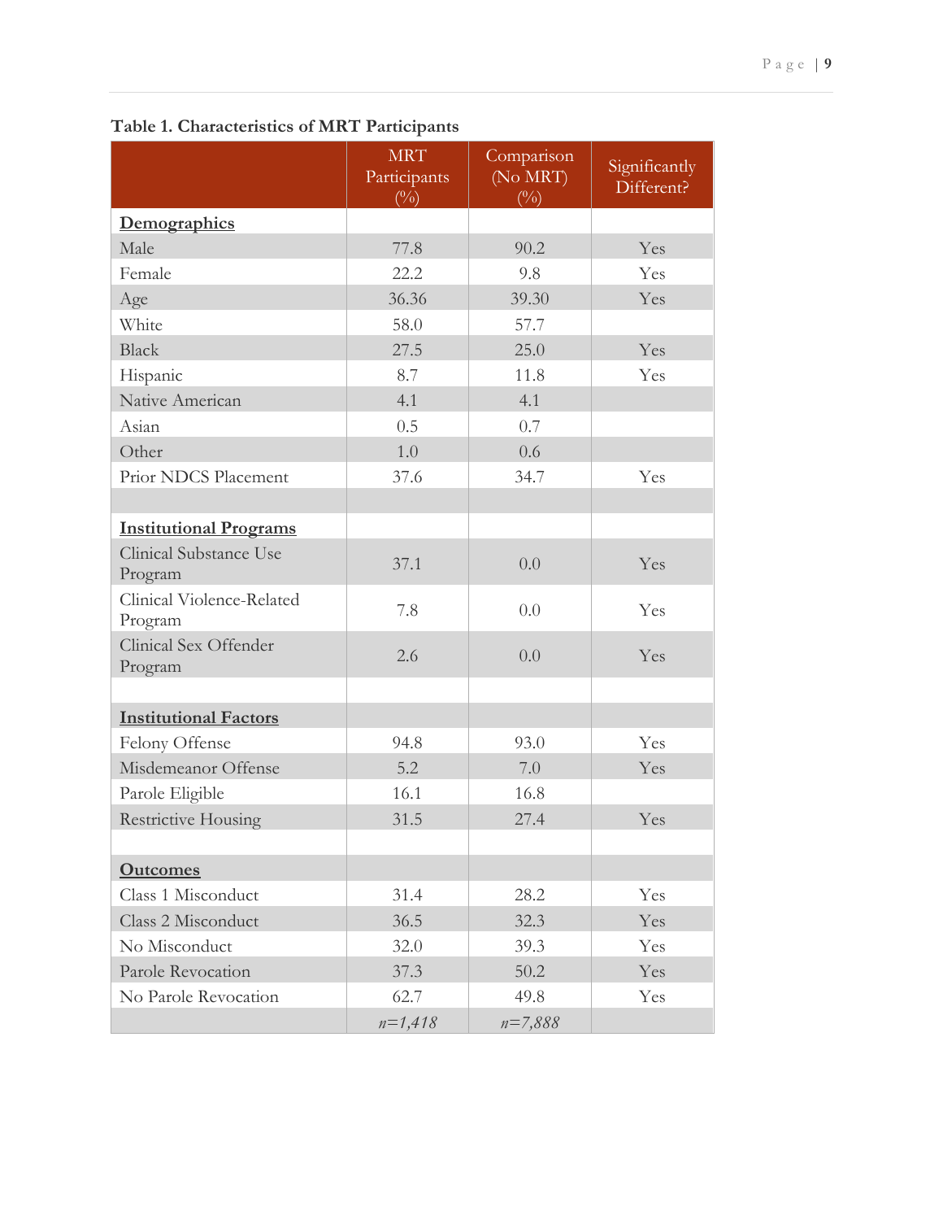|                                      | <b>MRT</b><br>Participants<br>(0/0) | Comparison<br>(No MRT)<br>(0/0) | Significantly<br>Different? |
|--------------------------------------|-------------------------------------|---------------------------------|-----------------------------|
| Demographics                         |                                     |                                 |                             |
| Male                                 | 77.8                                | 90.2                            | Yes                         |
| Female                               | 22.2                                | 9.8                             | Yes                         |
| Age                                  | 36.36                               | 39.30                           | Yes                         |
| White                                | 58.0                                | 57.7                            |                             |
| <b>Black</b>                         | 27.5                                | 25.0                            | Yes                         |
| Hispanic                             | 8.7                                 | 11.8                            | Yes                         |
| Native American                      | 4.1                                 | 4.1                             |                             |
| Asian                                | 0.5                                 | 0.7                             |                             |
| Other                                | 1.0                                 | 0.6                             |                             |
| Prior NDCS Placement                 | 37.6                                | 34.7                            | Yes                         |
|                                      |                                     |                                 |                             |
| <b>Institutional Programs</b>        |                                     |                                 |                             |
| Clinical Substance Use<br>Program    | 37.1                                | 0.0                             | Yes                         |
| Clinical Violence-Related<br>Program | 7.8                                 | 0.0                             | Yes                         |
| Clinical Sex Offender<br>Program     | 2.6                                 | 0.0                             | Yes                         |
|                                      |                                     |                                 |                             |
| <b>Institutional Factors</b>         |                                     |                                 |                             |
| Felony Offense                       | 94.8                                | 93.0                            | Yes                         |
| Misdemeanor Offense                  | 5.2                                 | 7.0                             | Yes                         |
| Parole Eligible                      | 16.1                                | 16.8                            |                             |
| <b>Restrictive Housing</b>           | 31.5                                | 27.4                            | Yes                         |
|                                      |                                     |                                 |                             |
| <b>Outcomes</b>                      |                                     |                                 |                             |
| Class 1 Misconduct                   | 31.4                                | 28.2                            | Yes                         |
| Class 2 Misconduct                   | 36.5                                | 32.3                            | Yes                         |
| No Misconduct                        | 32.0                                | 39.3                            | Yes                         |
| Parole Revocation                    | 37.3                                | 50.2                            | Yes                         |
| No Parole Revocation                 | 62.7                                | 49.8                            | Yes                         |
|                                      | $n=1,418$                           | $n = 7,888$                     |                             |

**Table 1. Characteristics of MRT Participants**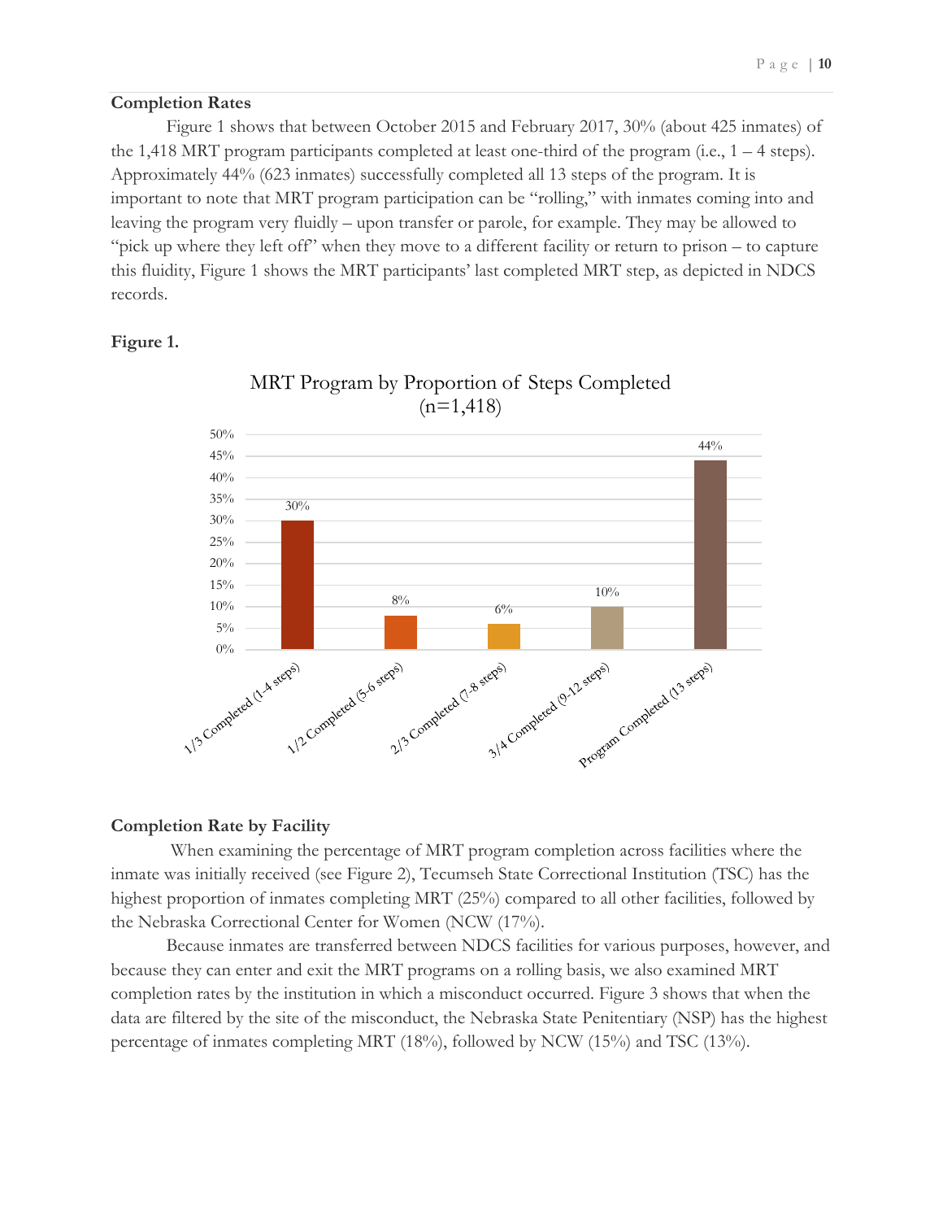#### **Completion Rates**

Figure 1 shows that between October 2015 and February 2017, 30% (about 425 inmates) of the 1,418 MRT program participants completed at least one-third of the program (i.e.,  $1 - 4$  steps). Approximately 44% (623 inmates) successfully completed all 13 steps of the program. It is important to note that MRT program participation can be "rolling," with inmates coming into and leaving the program very fluidly – upon transfer or parole, for example. They may be allowed to "pick up where they left off" when they move to a different facility or return to prison – to capture this fluidity, Figure 1 shows the MRT participants' last completed MRT step, as depicted in NDCS records.

#### **Figure 1.**



## MRT Program by Proportion of Steps Completed  $(n=1,418)$

#### **Completion Rate by Facility**

When examining the percentage of MRT program completion across facilities where the inmate was initially received (see Figure 2), Tecumseh State Correctional Institution (TSC) has the highest proportion of inmates completing MRT (25%) compared to all other facilities, followed by the Nebraska Correctional Center for Women (NCW (17%).

Because inmates are transferred between NDCS facilities for various purposes, however, and because they can enter and exit the MRT programs on a rolling basis, we also examined MRT completion rates by the institution in which a misconduct occurred. Figure 3 shows that when the data are filtered by the site of the misconduct, the Nebraska State Penitentiary (NSP) has the highest percentage of inmates completing MRT (18%), followed by NCW (15%) and TSC (13%).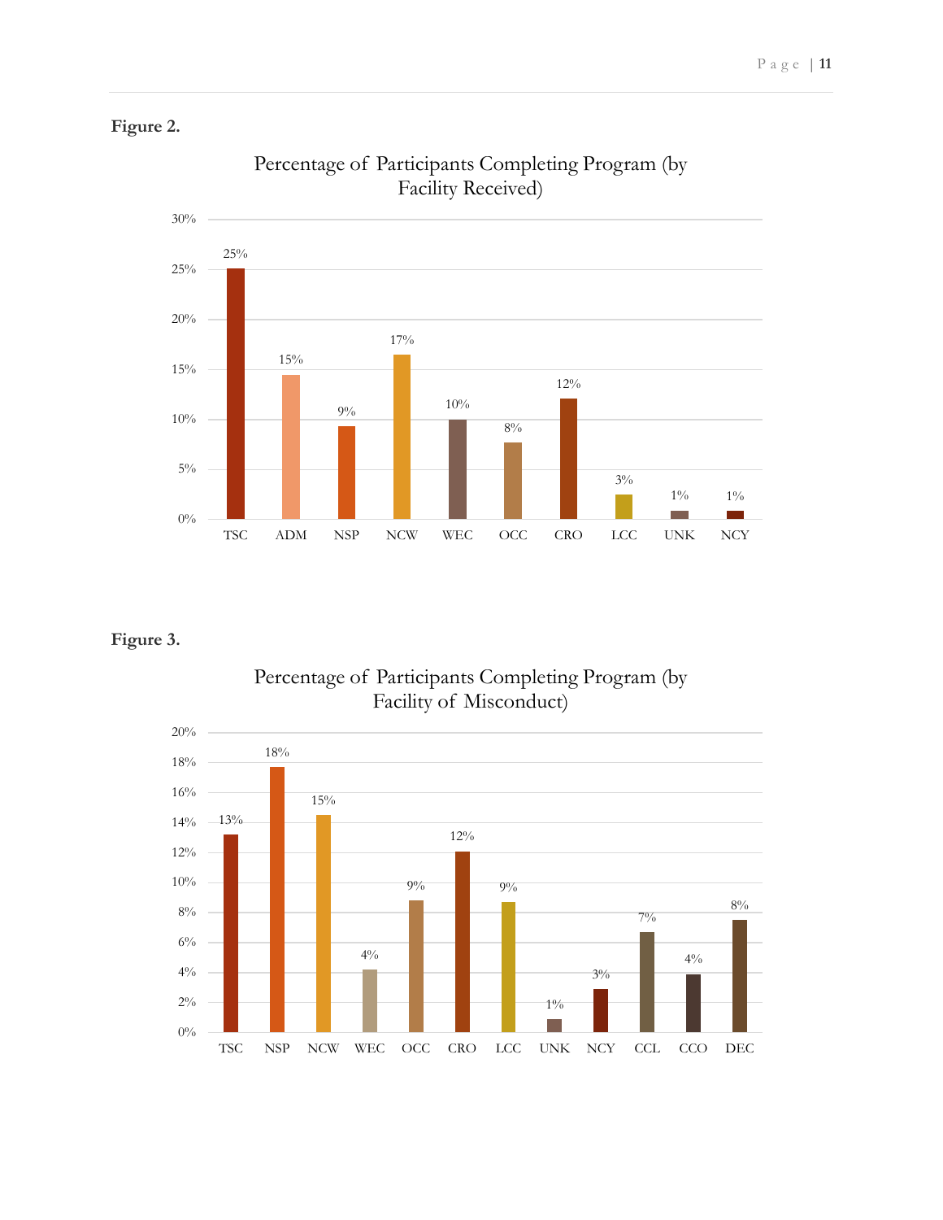### **Figure 2.**



## Percentage of Participants Completing Program (by Facility Received)

## **Figure 3.**



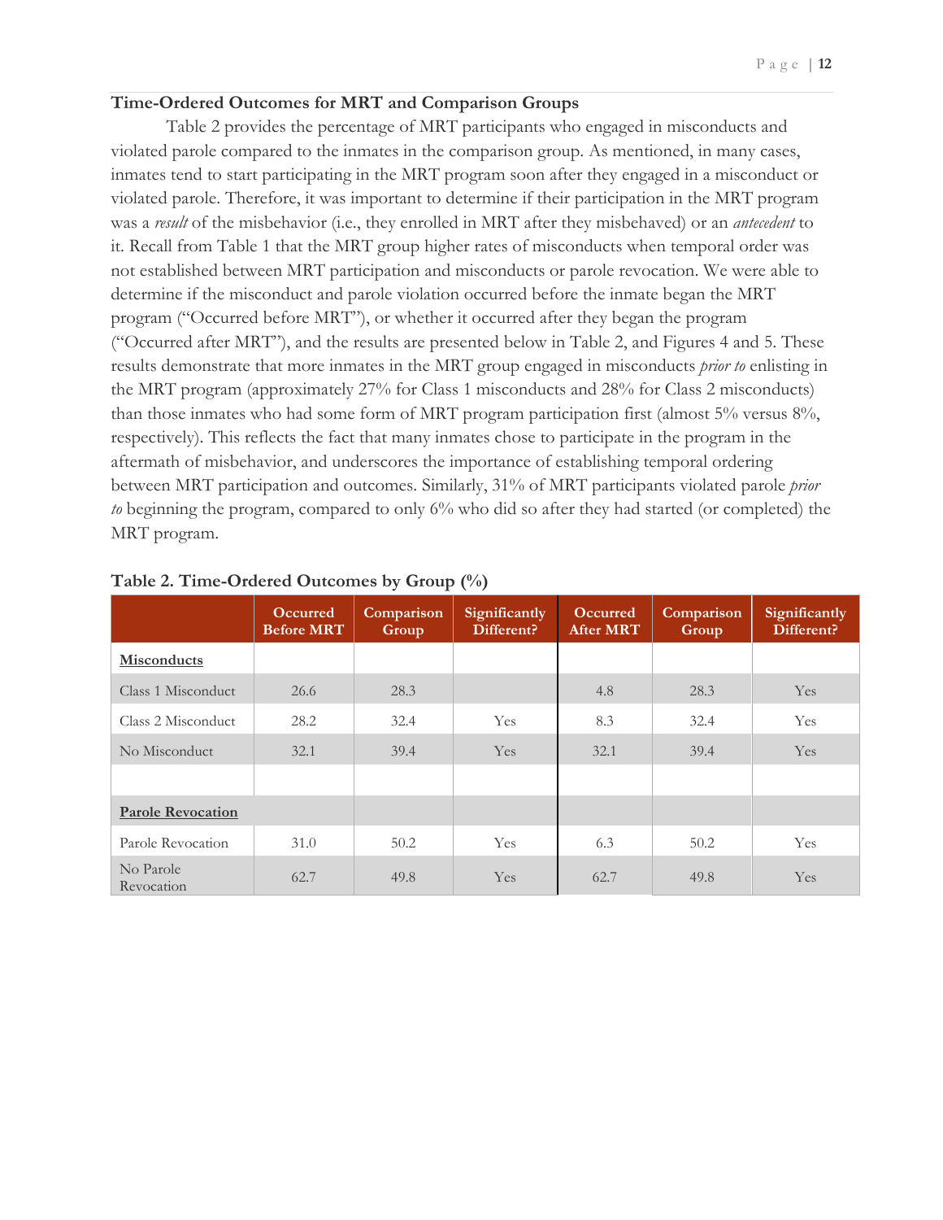#### **Time-Ordered Outcomes for MRT and Comparison Groups**

Table 2 provides the percentage of MRT participants who engaged in misconducts and violated parole compared to the inmates in the comparison group. As mentioned, in many cases, inmates tend to start participating in the MRT program soon after they engaged in a misconduct or violated parole. Therefore, it was important to determine if their participation in the MRT program was a *result* of the misbehavior (i.e., they enrolled in MRT after they misbehaved) or an *antecedent* to it. Recall from Table 1 that the MRT group higher rates of misconducts when temporal order was not established between MRT participation and misconducts or parole revocation. We were able to determine if the misconduct and parole violation occurred before the inmate began the MRT program ("Occurred before MRT"), or whether it occurred after they began the program ("Occurred after MRT"), and the results are presented below in Table 2, and Figures 4 and 5. These results demonstrate that more inmates in the MRT group engaged in misconducts *prior to* enlisting in the MRT program (approximately 27% for Class 1 misconducts and 28% for Class 2 misconducts) than those inmates who had some form of MRT program participation first (almost 5% versus 8%, respectively). This reflects the fact that many inmates chose to participate in the program in the aftermath of misbehavior, and underscores the importance of establishing temporal ordering between MRT participation and outcomes. Similarly, 31% of MRT participants violated parole *prior to* beginning the program, compared to only 6% who did so after they had started (or completed) the MRT program.

|                          | <b>Occurred</b><br><b>Before MRT</b> | Comparison<br>Group | Significantly<br>Different? | <b>Occurred</b><br><b>After MRT</b> | Comparison<br>Group | Significantly<br>Different? |
|--------------------------|--------------------------------------|---------------------|-----------------------------|-------------------------------------|---------------------|-----------------------------|
| <b>Misconducts</b>       |                                      |                     |                             |                                     |                     |                             |
| Class 1 Misconduct       | 26.6                                 | 28.3                |                             | 4.8                                 | 28.3                | <b>Yes</b>                  |
| Class 2 Misconduct       | 28.2                                 | 32.4                | Yes                         | 8.3                                 | 32.4                | Yes                         |
| No Misconduct            | 32.1                                 | 39.4                | Yes.                        | 32.1                                | 39.4                | Yes                         |
|                          |                                      |                     |                             |                                     |                     |                             |
| <b>Parole Revocation</b> |                                      |                     |                             |                                     |                     |                             |
| Parole Revocation        | 31.0                                 | 50.2                | <b>Yes</b>                  | 6.3                                 | 50.2                | Yes                         |
| No Parole<br>Revocation  | 62.7                                 | 49.8                | Yes                         | 62.7                                | 49.8                | Yes                         |

| Table 2. Time-Ordered Outcomes by Group (%) |  |
|---------------------------------------------|--|
|---------------------------------------------|--|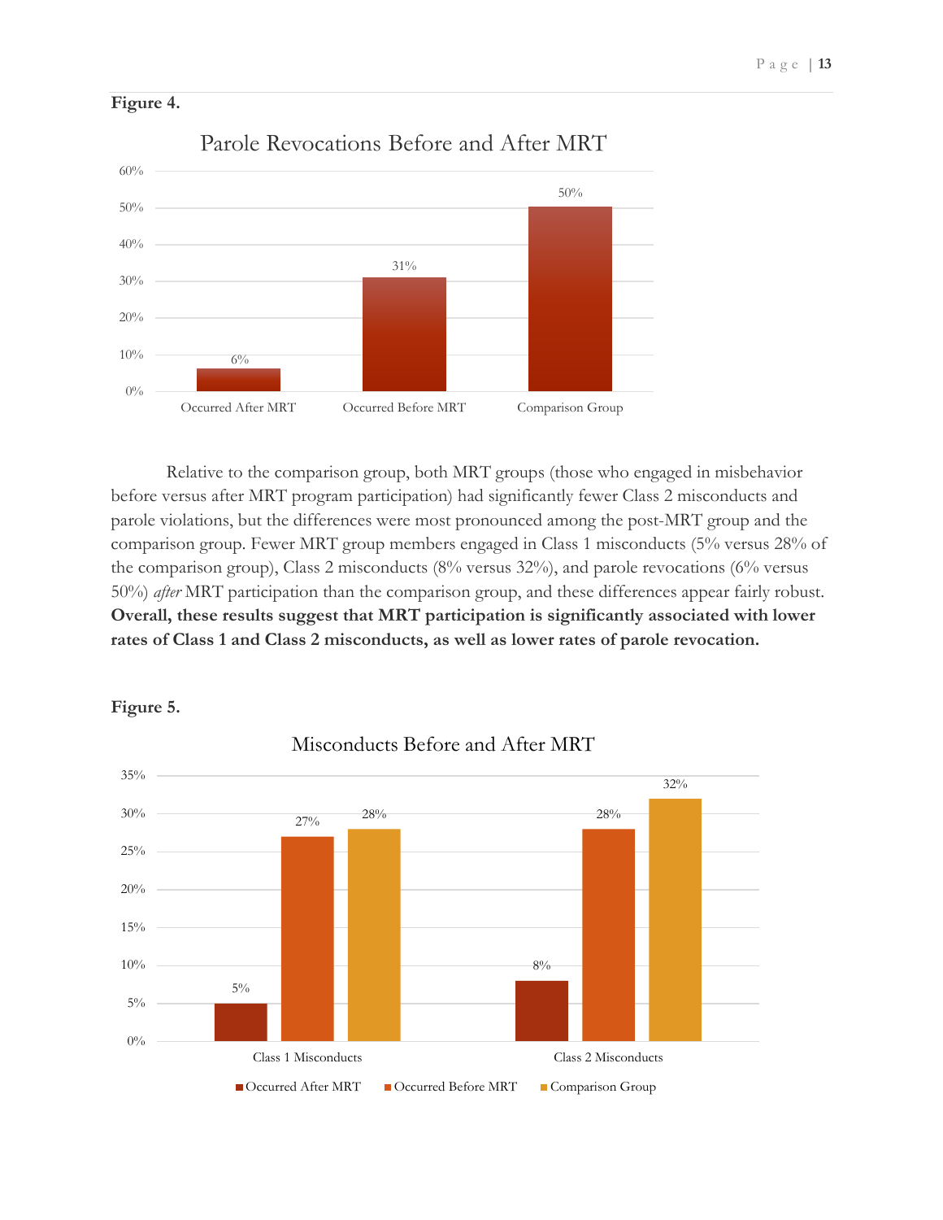

**Figure 4.** 

Relative to the comparison group, both MRT groups (those who engaged in misbehavior before versus after MRT program participation) had significantly fewer Class 2 misconducts and parole violations, but the differences were most pronounced among the post-MRT group and the comparison group. Fewer MRT group members engaged in Class 1 misconducts (5% versus 28% of the comparison group), Class 2 misconducts (8% versus 32%), and parole revocations (6% versus 50%) *after* MRT participation than the comparison group, and these differences appear fairly robust. **Overall, these results suggest that MRT participation is significantly associated with lower rates of Class 1 and Class 2 misconducts, as well as lower rates of parole revocation.** 



**Figure 5.**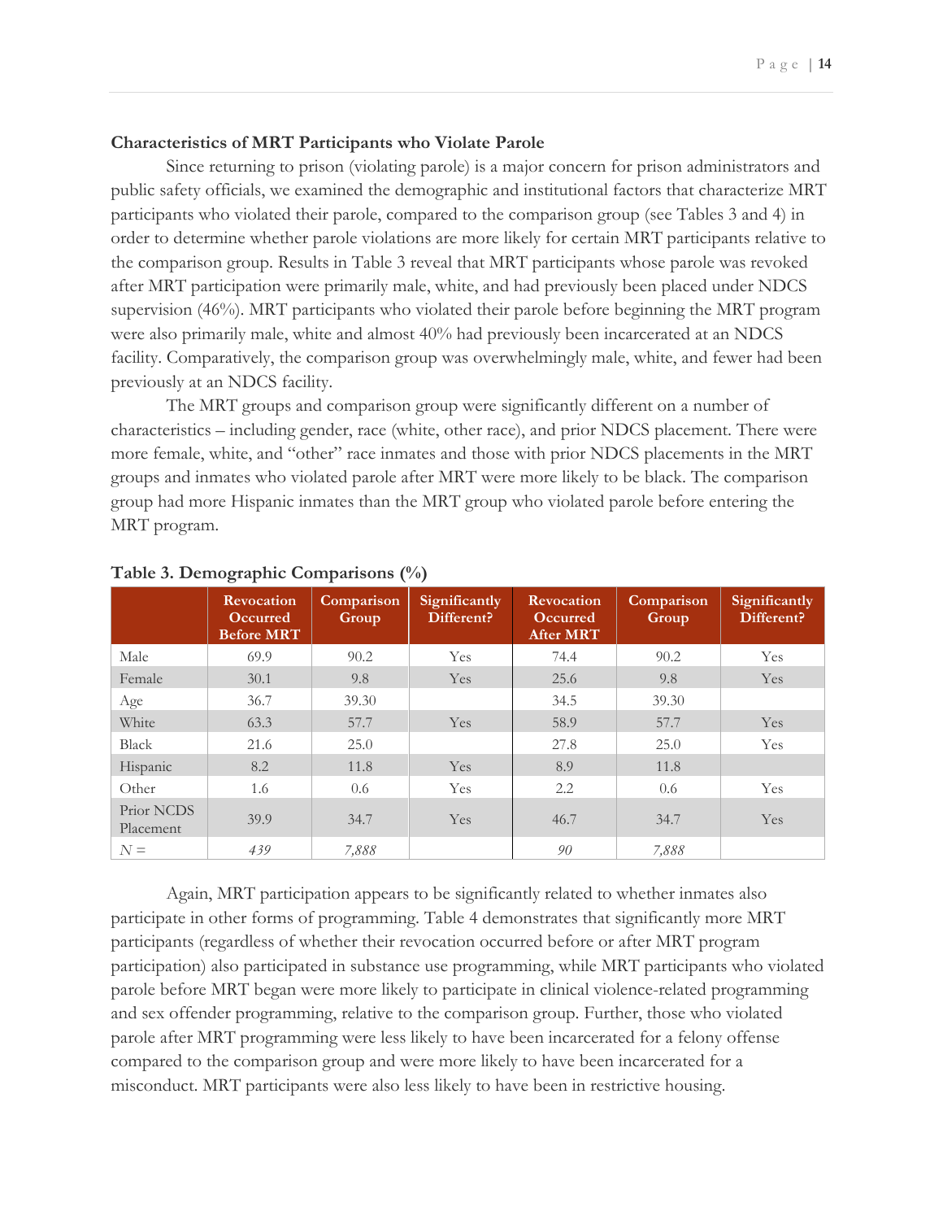#### **Characteristics of MRT Participants who Violate Parole**

Since returning to prison (violating parole) is a major concern for prison administrators and public safety officials, we examined the demographic and institutional factors that characterize MRT participants who violated their parole, compared to the comparison group (see Tables 3 and 4) in order to determine whether parole violations are more likely for certain MRT participants relative to the comparison group. Results in Table 3 reveal that MRT participants whose parole was revoked after MRT participation were primarily male, white, and had previously been placed under NDCS supervision (46%). MRT participants who violated their parole before beginning the MRT program were also primarily male, white and almost 40% had previously been incarcerated at an NDCS facility. Comparatively, the comparison group was overwhelmingly male, white, and fewer had been previously at an NDCS facility.

The MRT groups and comparison group were significantly different on a number of characteristics – including gender, race (white, other race), and prior NDCS placement. There were more female, white, and "other" race inmates and those with prior NDCS placements in the MRT groups and inmates who violated parole after MRT were more likely to be black. The comparison group had more Hispanic inmates than the MRT group who violated parole before entering the MRT program.

|                         | <b>Revocation</b><br><b>Occurred</b><br><b>Before MRT</b> | Comparison<br>Group | Significantly<br>Different? | Revocation<br><b>Occurred</b><br><b>After MRT</b> | Comparison<br>Group | Significantly<br>Different? |
|-------------------------|-----------------------------------------------------------|---------------------|-----------------------------|---------------------------------------------------|---------------------|-----------------------------|
| Male                    | 69.9                                                      | 90.2                | Yes                         | 74.4                                              | 90.2                | <b>Yes</b>                  |
| Female                  | 30.1                                                      | 9.8                 | Yes                         | 25.6                                              | 9.8                 | Yes.                        |
| Age                     | 36.7                                                      | 39.30               |                             | 34.5                                              | 39.30               |                             |
| White                   | 63.3                                                      | 57.7                | Yes                         | 58.9                                              | 57.7                | Yes.                        |
| <b>Black</b>            | 21.6                                                      | 25.0                |                             | 27.8                                              | 25.0                | <b>Yes</b>                  |
| Hispanic                | 8.2                                                       | 11.8                | Yes                         | 8.9                                               | 11.8                |                             |
| Other                   | 1.6                                                       | 0.6                 | Yes                         | 2.2                                               | 0.6                 | <b>Yes</b>                  |
| Prior NCDS<br>Placement | 39.9                                                      | 34.7                | Yes                         | 46.7                                              | 34.7                | Yes                         |
| $N =$                   | 439                                                       | 7,888               |                             | 90                                                | 7,888               |                             |

#### **Table 3. Demographic Comparisons (%)**

Again, MRT participation appears to be significantly related to whether inmates also participate in other forms of programming. Table 4 demonstrates that significantly more MRT participants (regardless of whether their revocation occurred before or after MRT program participation) also participated in substance use programming, while MRT participants who violated parole before MRT began were more likely to participate in clinical violence-related programming and sex offender programming, relative to the comparison group. Further, those who violated parole after MRT programming were less likely to have been incarcerated for a felony offense compared to the comparison group and were more likely to have been incarcerated for a misconduct. MRT participants were also less likely to have been in restrictive housing.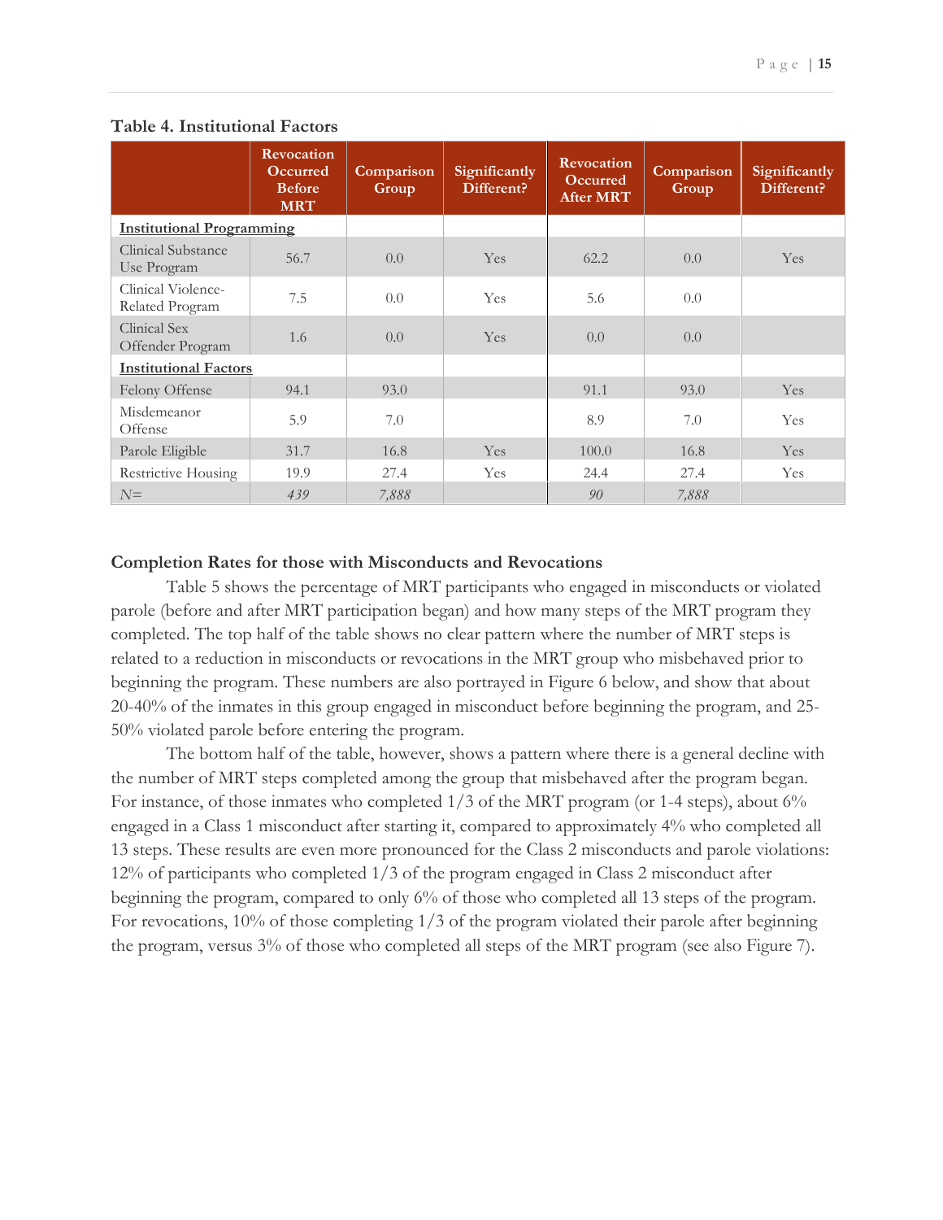|                                       | <b>Revocation</b><br><b>Occurred</b><br><b>Before</b><br><b>MRT</b> | Comparison<br>Group | Significantly<br>Different? | <b>Revocation</b><br><b>Occurred</b><br><b>After MRT</b> | Comparison<br>Group | Significantly<br>Different? |
|---------------------------------------|---------------------------------------------------------------------|---------------------|-----------------------------|----------------------------------------------------------|---------------------|-----------------------------|
| <b>Institutional Programming</b>      |                                                                     |                     |                             |                                                          |                     |                             |
| Clinical Substance<br>Use Program     | 56.7                                                                | 0.0                 | Yes                         | 62.2                                                     | 0.0                 | Yes.                        |
| Clinical Violence-<br>Related Program | 7.5                                                                 | 0.0                 | Yes                         | 5.6                                                      | 0.0                 |                             |
| Clinical Sex<br>Offender Program      | 1.6                                                                 | 0.0                 | Yes                         | 0.0                                                      | 0.0                 |                             |
| <b>Institutional Factors</b>          |                                                                     |                     |                             |                                                          |                     |                             |
| Felony Offense                        | 94.1                                                                | 93.0                |                             | 91.1                                                     | 93.0                | Yes                         |
| Misdemeanor<br>Offense                | 5.9                                                                 | 7.0                 |                             | 8.9                                                      | 7.0                 | <b>Yes</b>                  |
| Parole Eligible                       | 31.7                                                                | 16.8                | Yes.                        | 100.0                                                    | 16.8                | Yes.                        |
| Restrictive Housing                   | 19.9                                                                | 27.4                | Yes                         | 24.4                                                     | 27.4                | Yes                         |
| $N =$                                 | 439                                                                 | 7,888               |                             | 90                                                       | 7,888               |                             |

#### **Table 4. Institutional Factors**

#### **Completion Rates for those with Misconducts and Revocations**

Table 5 shows the percentage of MRT participants who engaged in misconducts or violated parole (before and after MRT participation began) and how many steps of the MRT program they completed. The top half of the table shows no clear pattern where the number of MRT steps is related to a reduction in misconducts or revocations in the MRT group who misbehaved prior to beginning the program. These numbers are also portrayed in Figure 6 below, and show that about 20-40% of the inmates in this group engaged in misconduct before beginning the program, and 25- 50% violated parole before entering the program.

The bottom half of the table, however, shows a pattern where there is a general decline with the number of MRT steps completed among the group that misbehaved after the program began. For instance, of those inmates who completed  $1/3$  of the MRT program (or 1-4 steps), about 6% engaged in a Class 1 misconduct after starting it, compared to approximately 4% who completed all 13 steps. These results are even more pronounced for the Class 2 misconducts and parole violations: 12% of participants who completed 1/3 of the program engaged in Class 2 misconduct after beginning the program, compared to only 6% of those who completed all 13 steps of the program. For revocations, 10% of those completing 1/3 of the program violated their parole after beginning the program, versus 3% of those who completed all steps of the MRT program (see also Figure 7).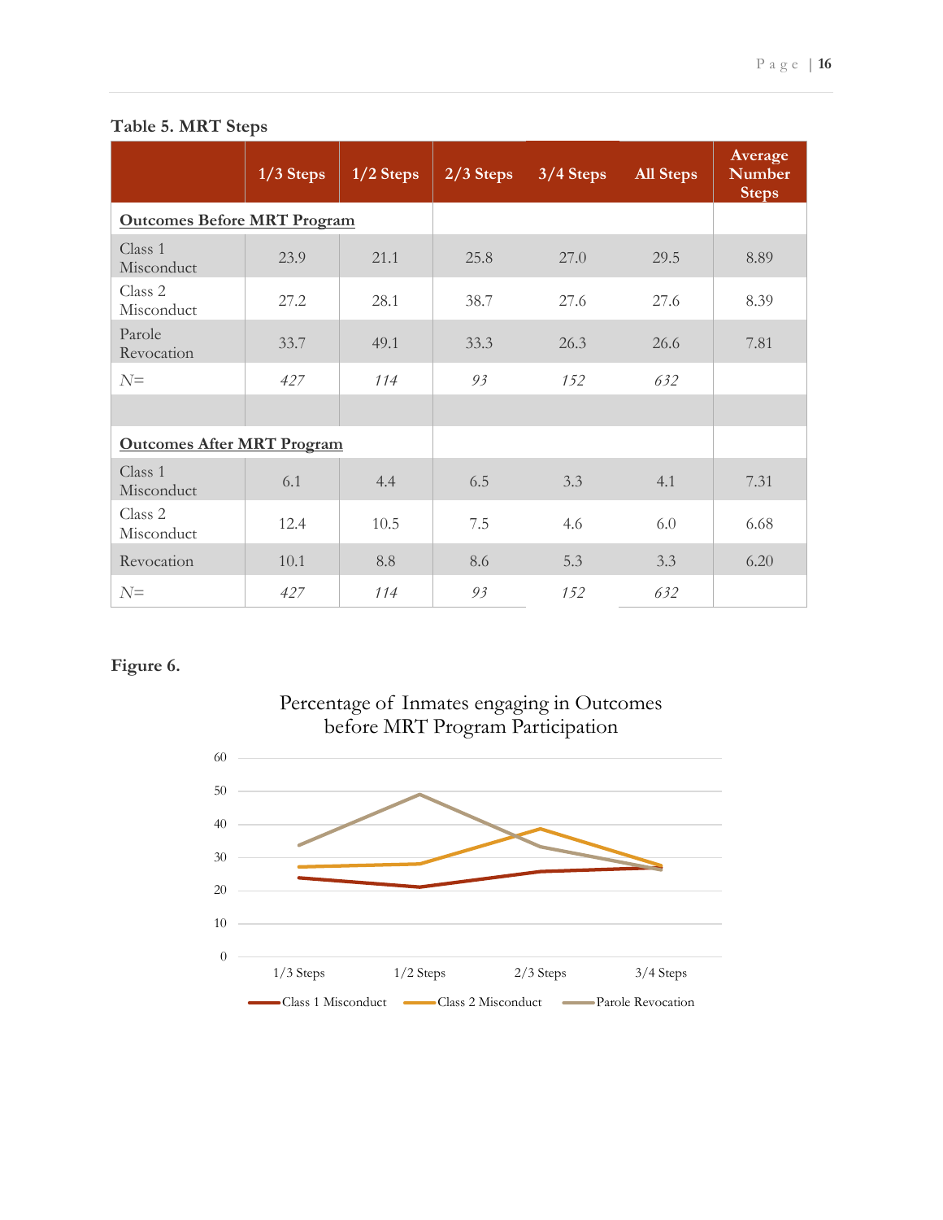|                                    | $1/3$ Steps | $1/2$ Steps | $2/3$ Steps | $3/4$ Steps | <b>All Steps</b> | Average<br><b>Number</b><br><b>Steps</b> |
|------------------------------------|-------------|-------------|-------------|-------------|------------------|------------------------------------------|
| <b>Outcomes Before MRT Program</b> |             |             |             |             |                  |                                          |
| Class 1<br>Misconduct              | 23.9        | 21.1        | 25.8        | 27.0        | 29.5             | 8.89                                     |
| Class 2<br>Misconduct              | 27.2        | 28.1        | 38.7        | 27.6        | 27.6             | 8.39                                     |
| Parole<br>Revocation               | 33.7        | 49.1        | 33.3        | 26.3        | 26.6             | 7.81                                     |
| $N =$                              | 427         | 114         | 93          | 152         | 632              |                                          |
|                                    |             |             |             |             |                  |                                          |
| <b>Outcomes After MRT Program</b>  |             |             |             |             |                  |                                          |
| Class 1<br>Misconduct              | 6.1         | 4.4         | 6.5         | 3.3         | 4.1              | 7.31                                     |
| Class 2<br>Misconduct              | 12.4        | 10.5        | 7.5         | 4.6         | 6.0              | 6.68                                     |
| Revocation                         | 10.1        | 8.8         | 8.6         | 5.3         | 3.3              | 6.20                                     |
| $N =$                              | 427         | 114         | 93          | 152         | 632              |                                          |

### **Table 5. MRT Steps**

## **Figure 6.**

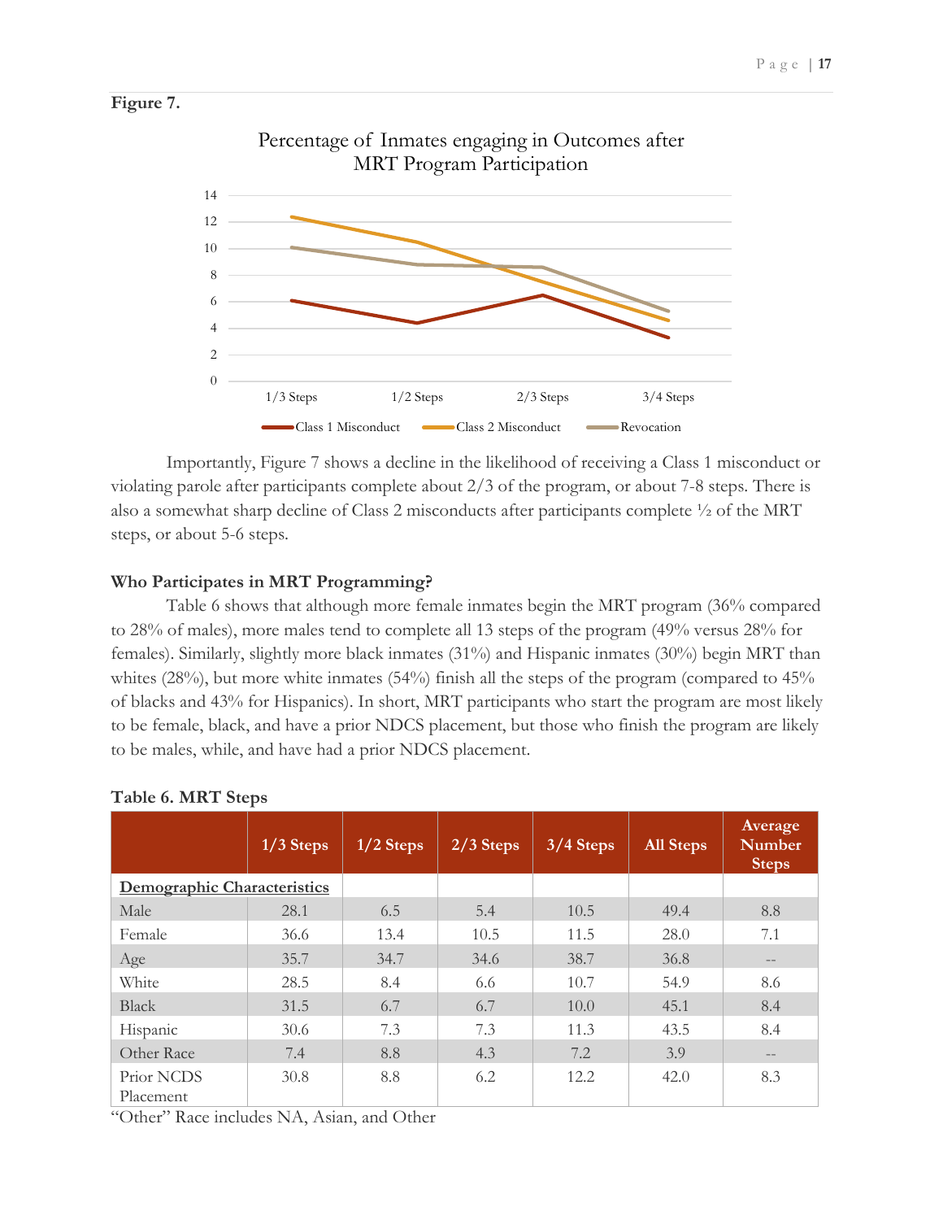



Percentage of Inmates engaging in Outcomes after

Importantly, Figure 7 shows a decline in the likelihood of receiving a Class 1 misconduct or violating parole after participants complete about 2/3 of the program, or about 7-8 steps. There is also a somewhat sharp decline of Class 2 misconducts after participants complete ½ of the MRT steps, or about 5-6 steps.

#### **Who Participates in MRT Programming?**

Table 6 shows that although more female inmates begin the MRT program (36% compared to 28% of males), more males tend to complete all 13 steps of the program (49% versus 28% for females). Similarly, slightly more black inmates (31%) and Hispanic inmates (30%) begin MRT than whites (28%), but more white inmates (54%) finish all the steps of the program (compared to 45% of blacks and 43% for Hispanics). In short, MRT participants who start the program are most likely to be female, black, and have a prior NDCS placement, but those who finish the program are likely to be males, while, and have had a prior NDCS placement.

|                             | $1/3$ Steps | $1/2$ Steps | $2/3$ Steps | $3/4$ Steps | <b>All Steps</b> | Average<br><b>Number</b><br><b>Steps</b> |
|-----------------------------|-------------|-------------|-------------|-------------|------------------|------------------------------------------|
| Demographic Characteristics |             |             |             |             |                  |                                          |
| Male                        | 28.1        | 6.5         | 5.4         | 10.5        | 49.4             | 8.8                                      |
| Female                      | 36.6        | 13.4        | 10.5        | 11.5        | 28.0             | 7.1                                      |
| Age                         | 35.7        | 34.7        | 34.6        | 38.7        | 36.8             | $\qquad \qquad -$                        |
| White                       | 28.5        | 8.4         | 6.6         | 10.7        | 54.9             | 8.6                                      |
| <b>Black</b>                | 31.5        | 6.7         | 6.7         | 10.0        | 45.1             | 8.4                                      |
| Hispanic                    | 30.6        | 7.3         | 7.3         | 11.3        | 43.5             | 8.4                                      |
| Other Race                  | 7.4         | 8.8         | 4.3         | 7.2         | 3.9              | $\qquad \qquad -$                        |
| Prior NCDS<br>Placement     | 30.8        | 8.8         | 6.2         | 12.2        | 42.0             | 8.3                                      |

#### **Table 6. MRT Steps**

"Other" Race includes NA, Asian, and Other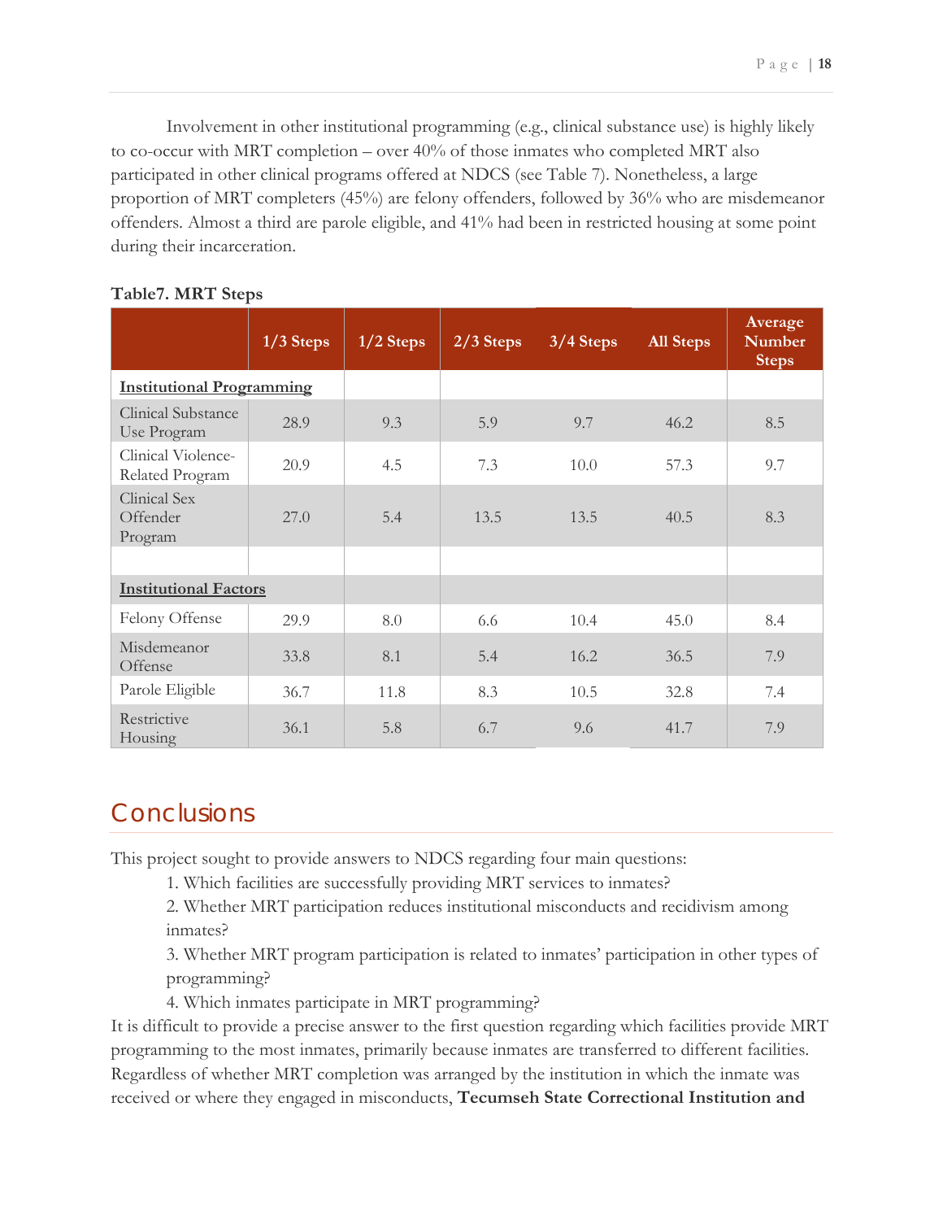Involvement in other institutional programming (e.g., clinical substance use) is highly likely to co-occur with MRT completion – over 40% of those inmates who completed MRT also participated in other clinical programs offered at NDCS (see Table 7). Nonetheless, a large proportion of MRT completers (45%) are felony offenders, followed by 36% who are misdemeanor offenders. Almost a third are parole eligible, and 41% had been in restricted housing at some point during their incarceration.

|                                       | $1/3$ Steps | $1/2$ Steps | $2/3$ Steps | 3/4 Steps | <b>All Steps</b> | Average<br><b>Number</b><br><b>Steps</b> |
|---------------------------------------|-------------|-------------|-------------|-----------|------------------|------------------------------------------|
| <b>Institutional Programming</b>      |             |             |             |           |                  |                                          |
| Clinical Substance<br>Use Program     | 28.9        | 9.3         | 5.9         | 9.7       | 46.2             | 8.5                                      |
| Clinical Violence-<br>Related Program | 20.9        | 4.5         | 7.3         | 10.0      | 57.3             | 9.7                                      |
| Clinical Sex<br>Offender<br>Program   | 27.0        | 5.4         | 13.5        | 13.5      | 40.5             | 8.3                                      |
|                                       |             |             |             |           |                  |                                          |
| <b>Institutional Factors</b>          |             |             |             |           |                  |                                          |
| Felony Offense                        | 29.9        | 8.0         | 6.6         | 10.4      | 45.0             | 8.4                                      |
| Misdemeanor<br>Offense                | 33.8        | 8.1         | 5.4         | 16.2      | 36.5             | 7.9                                      |
| Parole Eligible                       | 36.7        | 11.8        | 8.3         | 10.5      | 32.8             | 7.4                                      |
| Restrictive<br>Housing                | 36.1        | 5.8         | 6.7         | 9.6       | 41.7             | 7.9                                      |

#### **Table7. MRT Steps**

## <span id="page-19-0"></span>**Conclusions**

This project sought to provide answers to NDCS regarding four main questions:

1. Which facilities are successfully providing MRT services to inmates?

2. Whether MRT participation reduces institutional misconducts and recidivism among inmates?

3. Whether MRT program participation is related to inmates' participation in other types of programming?

4. Which inmates participate in MRT programming?

It is difficult to provide a precise answer to the first question regarding which facilities provide MRT programming to the most inmates, primarily because inmates are transferred to different facilities. Regardless of whether MRT completion was arranged by the institution in which the inmate was received or where they engaged in misconducts, **Tecumseh State Correctional Institution and**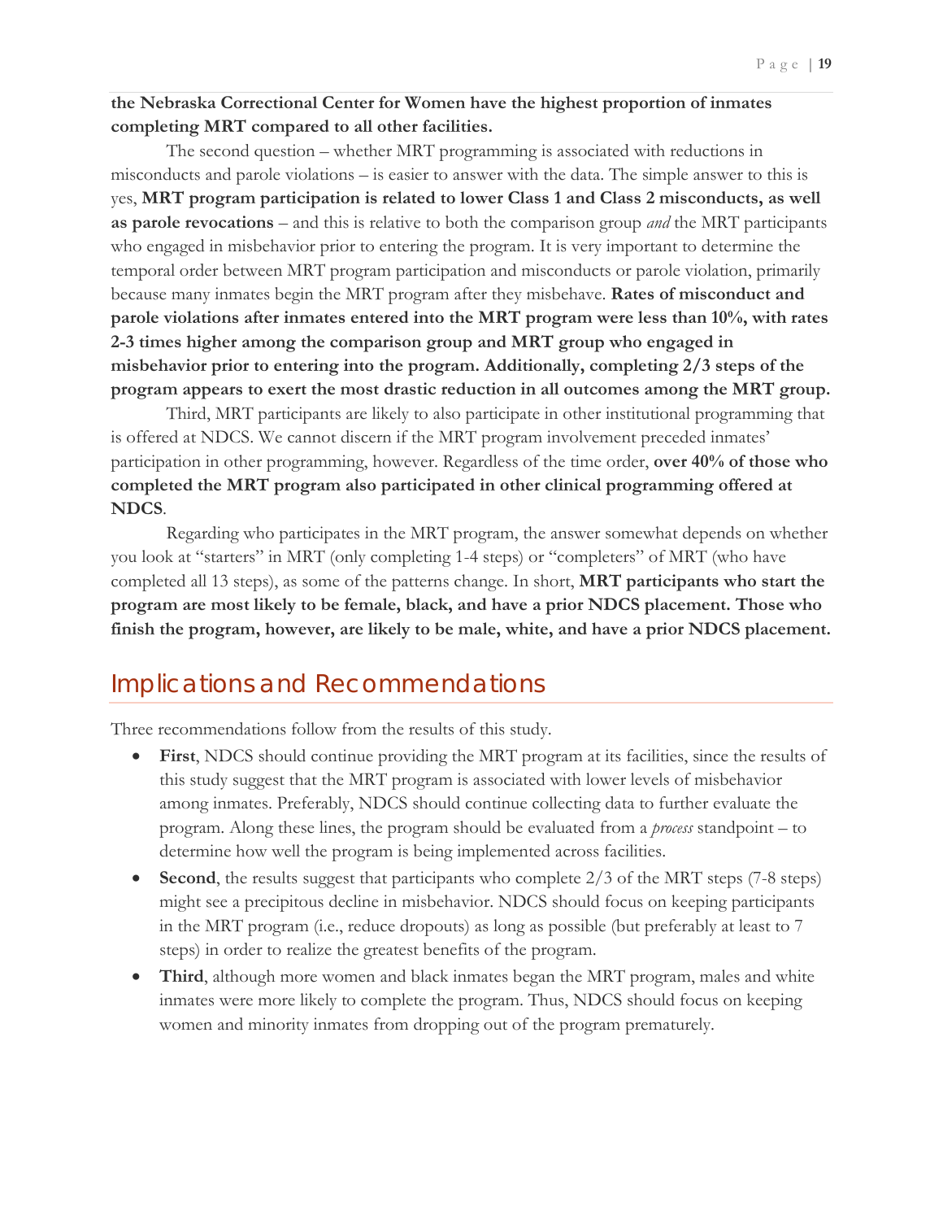#### **the Nebraska Correctional Center for Women have the highest proportion of inmates completing MRT compared to all other facilities.**

The second question – whether MRT programming is associated with reductions in misconducts and parole violations – is easier to answer with the data. The simple answer to this is yes, **MRT program participation is related to lower Class 1 and Class 2 misconducts, as well as parole revocations** – and this is relative to both the comparison group *and* the MRT participants who engaged in misbehavior prior to entering the program. It is very important to determine the temporal order between MRT program participation and misconducts or parole violation, primarily because many inmates begin the MRT program after they misbehave. **Rates of misconduct and parole violations after inmates entered into the MRT program were less than 10%, with rates 2-3 times higher among the comparison group and MRT group who engaged in misbehavior prior to entering into the program. Additionally, completing 2/3 steps of the program appears to exert the most drastic reduction in all outcomes among the MRT group.**

Third, MRT participants are likely to also participate in other institutional programming that is offered at NDCS. We cannot discern if the MRT program involvement preceded inmates' participation in other programming, however. Regardless of the time order, **over 40% of those who completed the MRT program also participated in other clinical programming offered at NDCS**.

Regarding who participates in the MRT program, the answer somewhat depends on whether you look at "starters" in MRT (only completing 1-4 steps) or "completers" of MRT (who have completed all 13 steps), as some of the patterns change. In short, **MRT participants who start the program are most likely to be female, black, and have a prior NDCS placement. Those who finish the program, however, are likely to be male, white, and have a prior NDCS placement.** 

## <span id="page-20-0"></span>Implications and Recommendations

Three recommendations follow from the results of this study.

- **First**, NDCS should continue providing the MRT program at its facilities, since the results of this study suggest that the MRT program is associated with lower levels of misbehavior among inmates. Preferably, NDCS should continue collecting data to further evaluate the program. Along these lines, the program should be evaluated from a *process* standpoint – to determine how well the program is being implemented across facilities.
- **Second**, the results suggest that participants who complete 2/3 of the MRT steps (7-8 steps) might see a precipitous decline in misbehavior. NDCS should focus on keeping participants in the MRT program (i.e., reduce dropouts) as long as possible (but preferably at least to 7 steps) in order to realize the greatest benefits of the program.
- **Third**, although more women and black inmates began the MRT program, males and white inmates were more likely to complete the program. Thus, NDCS should focus on keeping women and minority inmates from dropping out of the program prematurely.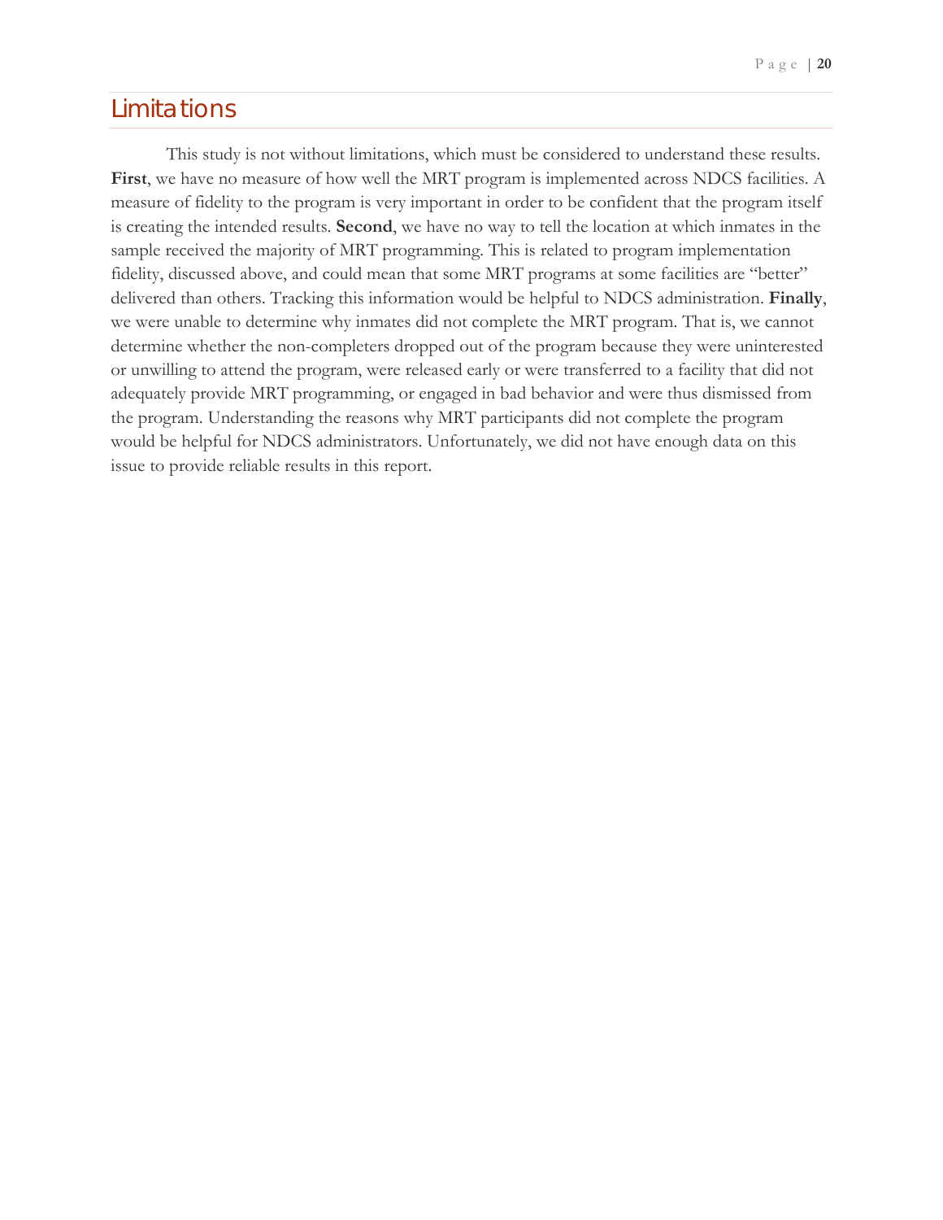## <span id="page-21-0"></span>Limitations

This study is not without limitations, which must be considered to understand these results. **First**, we have no measure of how well the MRT program is implemented across NDCS facilities. A measure of fidelity to the program is very important in order to be confident that the program itself is creating the intended results. **Second**, we have no way to tell the location at which inmates in the sample received the majority of MRT programming. This is related to program implementation fidelity, discussed above, and could mean that some MRT programs at some facilities are "better" delivered than others. Tracking this information would be helpful to NDCS administration. **Finally**, we were unable to determine why inmates did not complete the MRT program. That is, we cannot determine whether the non-completers dropped out of the program because they were uninterested or unwilling to attend the program, were released early or were transferred to a facility that did not adequately provide MRT programming, or engaged in bad behavior and were thus dismissed from the program. Understanding the reasons why MRT participants did not complete the program would be helpful for NDCS administrators. Unfortunately, we did not have enough data on this issue to provide reliable results in this report.